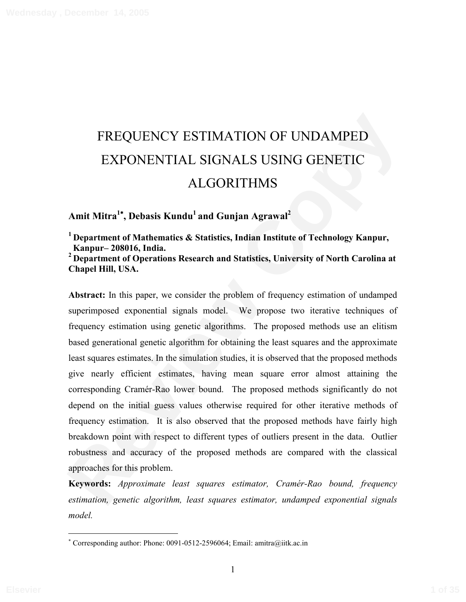# FREQUENCY ESTIMATION OF UNDAMPED EXPONENTIAL SIGNALS USING GENETIC ALGORITHMS

**Amit Mitra1 , Debasis Kundu1 and Gunjan Agrawal2**

**<sup>1</sup> Department of Mathematics & Statistics, Indian Institute of Technology Kanpur, Kanpur– 208016, India.** 

**<sup>2</sup> Department of Operations Research and Statistics, University of North Carolina at Chapel Hill, USA.** 

FREQUENCY ESTIMATION OF UNDAMPED<br>EXPONENTIAL SIGNALS USING GENETIC<br>ALGORITHMS<br>Amit Mitra<sup>14</sup>, Debasis Kundu<sup>1</sup> and Gunjan Agrawal<sup>2</sup><br><sup>1</sup><br>Department of Muthematics & Statistics, Indian Institute of Technology Kampur,<br><sup>1</sup><br>Re **Abstract:** In this paper, we consider the problem of frequency estimation of undamped superimposed exponential signals model. We propose two iterative techniques of frequency estimation using genetic algorithms. The proposed methods use an elitism based generational genetic algorithm for obtaining the least squares and the approximate least squares estimates. In the simulation studies, it is observed that the proposed methods give nearly efficient estimates, having mean square error almost attaining the corresponding Cramér-Rao lower bound. The proposed methods significantly do not depend on the initial guess values otherwise required for other iterative methods of frequency estimation. It is also observed that the proposed methods have fairly high breakdown point with respect to different types of outliers present in the data. Outlier robustness and accuracy of the proposed methods are compared with the classical approaches for this problem.

**Keywords:** *Approximate least squares estimator, Cramér-Rao bound, frequency estimation, genetic algorithm, least squares estimator, undamped exponential signals model.*

Corresponding author: Phone: 0091-0512-2596064; Email: amitra@iitk.ac.in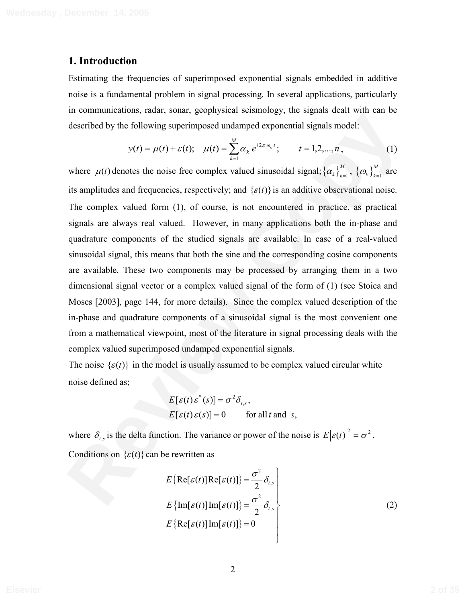## **1. Introduction**

Estimating the frequencies of superimposed exponential signals embedded in additive noise is a fundamental problem in signal processing. In several applications, particularly in communications, radar, sonar, geophysical seismology, the signals dealt with can be described by the following superimposed undamped exponential signals model:

$$
y(t) = \mu(t) + \varepsilon(t); \quad \mu(t) = \sum_{k=1}^{M} \alpha_k e^{i2\pi \omega_k t}; \qquad t = 1, 2, ..., n,
$$
 (1)

described by the following superimposed undamped exponential signals model:<br>  $y(t) = \mu(t) + \alpha(t); \quad \mu(t) = \sum_{k=1}^{M} \alpha_k e^{i2\pi n_k t}$ ;  $t = 1, 2, ..., n$ , (1)<br>
where  $\mu(t)$  denotes the noise free complex valued sinusoidal signal;  $\{\alpha_k\}_{k$ where  $\mu(t)$  denotes the noise free complex valued sinusoidal signal;  $\{\alpha_k\}_{k=1}^M$ ,  $\{\omega_k\}_{k=1}^M$  are its amplitudes and frequencies, respectively; and  $\{\varepsilon(t)\}\$ is an additive observational noise. The complex valued form (1), of course, is not encountered in practice, as practical signals are always real valued. However, in many applications both the in-phase and quadrature components of the studied signals are available. In case of a real-valued sinusoidal signal, this means that both the sine and the corresponding cosine components are available. These two components may be processed by arranging them in a two dimensional signal vector or a complex valued signal of the form of (1) (see Stoica and Moses [2003], page 144, for more details). Since the complex valued description of the in-phase and quadrature components of a sinusoidal signal is the most convenient one from a mathematical viewpoint, most of the literature in signal processing deals with the complex valued superimposed undamped exponential signals.

The noise  $\{\varepsilon(t)\}\$  in the model is usually assumed to be complex valued circular white noise defined as;

$$
E[\varepsilon(t) \varepsilon^*(s)] = \sigma^2 \delta_{t,s},
$$
  
 
$$
E[\varepsilon(t) \varepsilon(s)] = 0 \quad \text{for all } t \text{ and } s,
$$

where  $\delta_{t,s}$  is the delta function. The variance or power of the noise is  $E|\varepsilon(t)|^2 = \sigma^2$ . Conditions on  $\{\varepsilon(t)\}\$ can be rewritten as

$$
E\left\{\text{Re}[\varepsilon(t)]\text{Re}[\varepsilon(t)]\right\} = \frac{\sigma^2}{2}\delta_{t,s}
$$
  
\n
$$
E\left\{\text{Im}[\varepsilon(t)]\text{Im}[\varepsilon(t)]\right\} = \frac{\sigma^2}{2}\delta_{t,s}
$$
  
\n
$$
E\left\{\text{Re}[\varepsilon(t)]\text{Im}[\varepsilon(t)]\right\} = 0
$$
\n(2)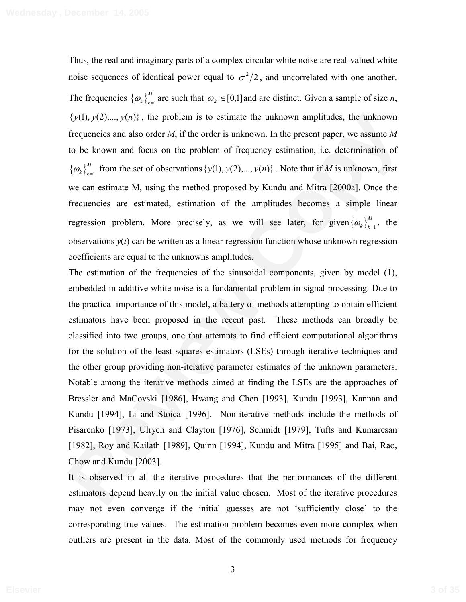Thus, the real and imaginary parts of a complex circular white noise are real-valued white noise sequences of identical power equal to  $\sigma^2/2$ , and uncorrelated with one another. The frequencies  $\{\omega_k\}_{k=1}^M$  are such that  $\omega_k \in [0,1]$  and are distinct. Given a sample of size *n*,  $\{y(1), y(2), \ldots, y(n)\}\$ , the problem is to estimate the unknown amplitudes, the unknown frequencies and also order *M*, if the order is unknown. In the present paper, we assume *M* to be known and focus on the problem of frequency estimation, i.e. determination of  $\{\omega_k\}_{k=1}^M$  from the set of observations  $\{y(1), y(2), \ldots, y(n)\}\)$ . Note that if *M* is unknown, first we can estimate M, using the method proposed by Kundu and Mitra [2000a]. Once the frequencies are estimated, estimation of the amplitudes becomes a simple linear regression problem. More precisely, as we will see later, for given  $\{ \omega_k \}_{k=1}^M$ , the observations  $y(t)$  can be written as a linear regression function whose unknown regression coefficients are equal to the unknowns amplitudes.

( $y(1), y(2),..., y(n)$ ), the problem is to estimate the unknown amplitudes, the unknown<br>frequencies and also order M, if the order is unknown. In the present paper, we assume M<br>froquencies and also order M, if the order is unkno The estimation of the frequencies of the sinusoidal components, given by model (1), embedded in additive white noise is a fundamental problem in signal processing. Due to the practical importance of this model, a battery of methods attempting to obtain efficient estimators have been proposed in the recent past. These methods can broadly be classified into two groups, one that attempts to find efficient computational algorithms for the solution of the least squares estimators (LSEs) through iterative techniques and the other group providing non-iterative parameter estimates of the unknown parameters. Notable among the iterative methods aimed at finding the LSEs are the approaches of Bressler and MaCovski [1986], Hwang and Chen [1993], Kundu [1993], Kannan and Kundu [1994], Li and Stoica [1996]. Non-iterative methods include the methods of Pisarenko [1973], Ulrych and Clayton [1976], Schmidt [1979], Tufts and Kumaresan [1982], Roy and Kailath [1989], Quinn [1994], Kundu and Mitra [1995] and Bai, Rao, Chow and Kundu [2003].

It is observed in all the iterative procedures that the performances of the different estimators depend heavily on the initial value chosen. Most of the iterative procedures may not even converge if the initial guesses are not 'sufficiently close' to the corresponding true values. The estimation problem becomes even more complex when outliers are present in the data. Most of the commonly used methods for frequency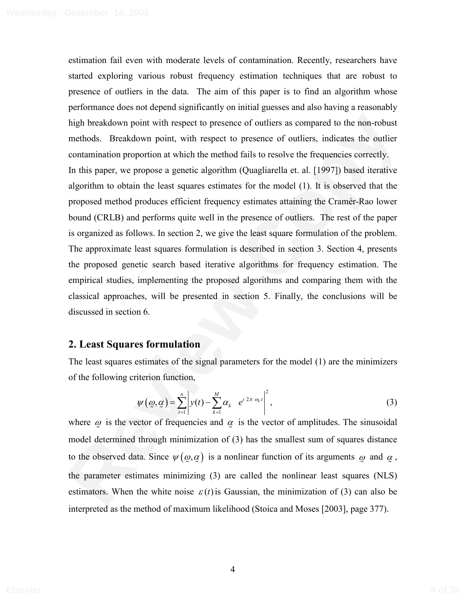high breakdown point with respect to presence of outliers as compared to the non-robost<br>methods. Breakdown point, with respect to presence of outliers, indicates the outlier<br>contamination proportion at which the method fa estimation fail even with moderate levels of contamination. Recently, researchers have started exploring various robust frequency estimation techniques that are robust to presence of outliers in the data. The aim of this paper is to find an algorithm whose performance does not depend significantly on initial guesses and also having a reasonably high breakdown point with respect to presence of outliers as compared to the non-robust methods. Breakdown point, with respect to presence of outliers, indicates the outlier contamination proportion at which the method fails to resolve the frequencies correctly. In this paper, we propose a genetic algorithm (Quagliarella et. al. [1997]) based iterative algorithm to obtain the least squares estimates for the model (1). It is observed that the proposed method produces efficient frequency estimates attaining the Cramér-Rao lower bound (CRLB) and performs quite well in the presence of outliers. The rest of the paper is organized as follows. In section 2, we give the least square formulation of the problem. The approximate least squares formulation is described in section 3. Section 4, presents the proposed genetic search based iterative algorithms for frequency estimation. The empirical studies, implementing the proposed algorithms and comparing them with the classical approaches, will be presented in section 5. Finally, the conclusions will be discussed in section 6.

# **2. Least Squares formulation**

The least squares estimates of the signal parameters for the model (1) are the minimizers of the following criterion function,

$$
\psi(\omega, \alpha) = \sum_{t=1}^{n} \left| y(t) - \sum_{k=1}^{M} \alpha_k e^{i 2\pi \omega_k t} \right|^2, \qquad (3)
$$

where  $\varphi$  is the vector of frequencies and  $\varphi$  is the vector of amplitudes. The sinusoidal model determined through minimization of (3) has the smallest sum of squares distance to the observed data. Since  $\psi(\omega, \alpha)$  is a nonlinear function of its arguments  $\omega$  and  $\alpha$ ,  $\tilde{ }$ the parameter estimates minimizing (3) are called the nonlinear least squares (NLS) estimators. When the white noise  $\varepsilon(t)$  is Gaussian, the minimization of (3) can also be interpreted as the method of maximum likelihood (Stoica and Moses [2003], page 377).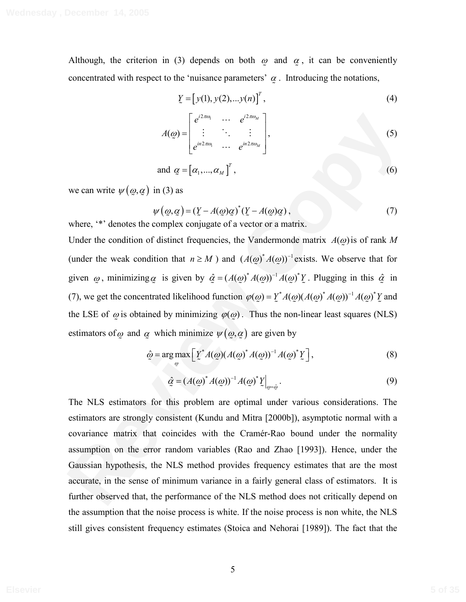Although, the criterion in (3) depends on both  $\varphi$  and  $\alpha$ , it can be conveniently  $\tilde{ }$ concentrated with respect to the 'nuisance parameters'  $\alpha$ . Introducing the notations,  $\tilde{a}$ 

$$
\underline{Y} = [y(1), y(2), \dots y(n)]^T, \tag{4}
$$
\n
$$
A(\underline{\omega}) = \begin{bmatrix} e^{i2\pi\omega_1} & \cdots & e^{i2\pi\omega_M} \\ \vdots & \ddots & \vdots \\ e^{i n 2\pi\omega_1} & \cdots & e^{i n 2\pi\omega_M} \end{bmatrix}, \tag{5}
$$

and 
$$
\underline{\alpha} = [\alpha_1, ..., \alpha_M]^T
$$
, (6)

we can write  $\psi(\omega, \alpha)$  in (3) as

$$
\psi(\omega, \alpha) = (\underline{Y} - A(\omega)\alpha)^*(\underline{Y} - A(\omega)\alpha),
$$
  
where, \*\* denotes the complex conjugate of a vector or a matrix. (7)

Under the condition of distinct frequencies, the Vandermonde matrix  $A(\omega)$  is of rank *M* (under the weak condition that  $n \ge M$ ) and  $(A(\omega)^* A(\omega))^{-1}$  exists. We observe that for given  $\omega$ , minimizing  $\alpha$  is given by  $\hat{\alpha} = (A(\omega)^* A(\omega))^{-1} A(\omega)^* Y$ . Plugging in this  $\hat{\alpha}$  in  $\frac{1}{\sqrt{2}}$  ,  $\frac{1}{\sqrt{2}}$  ,  $\frac{1}{\sqrt{2}}$  ,  $\frac{1}{\sqrt{2}}$  ,  $\frac{1}{\sqrt{2}}$  ,  $\frac{1}{\sqrt{2}}$  ,  $\frac{1}{\sqrt{2}}$  ,  $\frac{1}{\sqrt{2}}$ (7), we get the concentrated likelihood function  $\varphi(\omega) = \underline{y}^* A(\omega) (A(\omega)^* A(\omega))^{-1} A(\omega)^* \underline{y}$  and the LSE of  $\omega$  is obtained by minimizing  $\varphi(\omega)$ . Thus the non-linear least squares (NLS)  $\tilde{ }$ estimators of  $\varphi$  and  $\alpha$  which minimize  $\psi(\varphi, \alpha)$  are given by

$$
\hat{\omega} = \arg \max_{\omega} \left[ \underline{Y}^* A(\omega) (A(\omega)^* A(\omega))^{-1} A(\omega)^* \underline{Y} \right],\tag{8}
$$

$$
\hat{\mathcal{Q}} = \left( A(\mathcal{Q})^* A(\mathcal{Q}) \right)^{-1} A(\mathcal{Q})^* Y \Big|_{\mathcal{Q} = \hat{\mathcal{Q}}}.
$$
\n(9)

 $A(\varphi) = \begin{bmatrix} e^{2\pi\omega_0} & \cdots & e^{2\pi\omega_n} \\ e^{\frac{2\pi\omega_0}{\omega_0}} & \cdots & e^{\frac{\pi\omega_n}{\omega_n}} \end{bmatrix}$ . (5)<br>
and  $\alpha = [\alpha_1, ..., \alpha_M]^T$ ,<br>  $\psi(\varphi, \alpha)$  in (3) as<br>  $\psi(\varphi, \alpha) = (Y - A(\varphi)\alpha)^*(Y - A(\varphi)\alpha)$ ,<br>
where, '\*' denotes the complex conjugate of a vecto The NLS estimators for this problem are optimal under various considerations. The estimators are strongly consistent (Kundu and Mitra [2000b]), asymptotic normal with a covariance matrix that coincides with the Cramér-Rao bound under the normality assumption on the error random variables (Rao and Zhao [1993]). Hence, under the Gaussian hypothesis, the NLS method provides frequency estimates that are the most accurate, in the sense of minimum variance in a fairly general class of estimators. It is further observed that, the performance of the NLS method does not critically depend on the assumption that the noise process is white. If the noise process is non white, the NLS still gives consistent frequency estimates (Stoica and Nehorai [1989]). The fact that the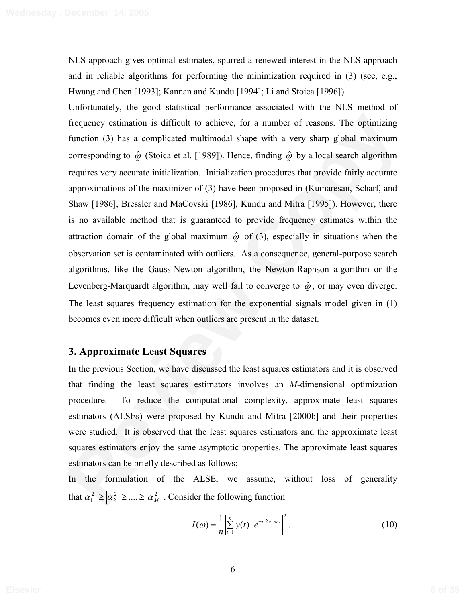NLS approach gives optimal estimates, spurred a renewed interest in the NLS approach and in reliable algorithms for performing the minimization required in  $(3)$  (see, e.g., Hwang and Chen [1993]; Kannan and Kundu [1994]; Li and Stoica [1996]).

frequency estimation is difficult to achieve, for a number of reasons. The optimizing<br>function (3) has a complicated multimodal shape with a very sharp global maximum<br>corresponding to  $\dot{\psi}$  (Stoica et al. [1989]). Hence Unfortunately, the good statistical performance associated with the NLS method of frequency estimation is difficult to achieve, for a number of reasons. The optimizing function (3) has a complicated multimodal shape with a very sharp global maximum corresponding to  $\hat{\omega}$  (Stoica et al. [1989]). Hence, finding  $\hat{\omega}$  by a local search algorithm requires very accurate initialization. Initialization procedures that provide fairly accurate approximations of the maximizer of (3) have been proposed in (Kumaresan, Scharf, and Shaw [1986], Bressler and MaCovski [1986], Kundu and Mitra [1995]). However, there is no available method that is guaranteed to provide frequency estimates within the attraction domain of the global maximum  $\hat{\omega}$  of (3), especially in situations when the observation set is contaminated with outliers. As a consequence, general-purpose search algorithms, like the Gauss-Newton algorithm, the Newton-Raphson algorithm or the Levenberg-Marquardt algorithm, may well fail to converge to  $\hat{\omega}$ , or may even diverge.  $\tilde{ }$ The least squares frequency estimation for the exponential signals model given in (1) becomes even more difficult when outliers are present in the dataset.

## **3. Approximate Least Squares**

In the previous Section, we have discussed the least squares estimators and it is observed that finding the least squares estimators involves an *M*-dimensional optimization procedure. To reduce the computational complexity, approximate least squares estimators (ALSEs) were proposed by Kundu and Mitra [2000b] and their properties were studied. It is observed that the least squares estimators and the approximate least squares estimators enjoy the same asymptotic properties. The approximate least squares estimators can be briefly described as follows;

In the formulation of the ALSE, we assume, without loss of generality that  $|\alpha_1^2| \ge |\alpha_2^2| \ge .... \ge |\alpha_M^2|$  $|\alpha_1|^2 \ge |\alpha_2^2| \ge ... \ge |\alpha_M^2|$ . Consider the following function

$$
I(\omega) = \frac{1}{n} \left| \sum_{t=1}^{n} y(t) e^{-i 2\pi \omega t} \right|^2.
$$
 (10)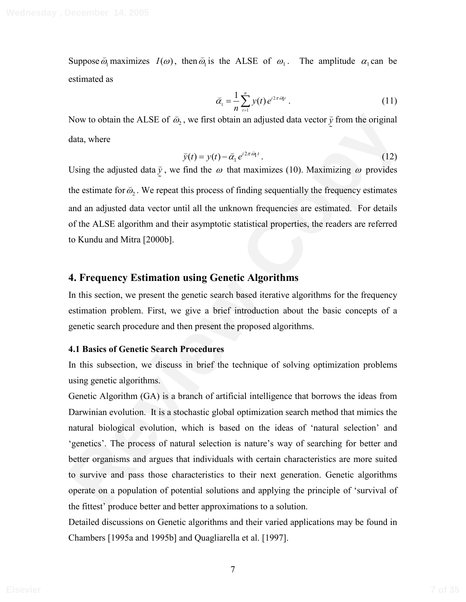Suppose  $\bar{\omega}_1$  maximizes  $I(\omega)$ , then  $\bar{\omega}_1$  is the ALSE of  $\omega_1$ . The amplitude  $\alpha_1$  can be estimated as

$$
\breve{\alpha}_1 = \frac{1}{n} \sum_{t=1}^n y(t) e^{i2\pi \breve{\omega}_1 t} \,. \tag{11}
$$

Now to obtain the ALSE of  $\vec{\omega}_2$ , we first obtain an adjusted data vector  $\vec{y}$  from the original  $\tilde{ }$ data, where

$$
\tilde{y}(t) = y(t) - \breve{\alpha}_1 e^{i2\pi \breve{\omega}_1 t}.
$$
\n(12)

Using the adjusted data  $\bar{y}$ , we find the  $\omega$  that maximizes (10). Maximizing  $\omega$  provides  $\tilde{ }$ the estimate for  $\tilde{\omega}_2$ . We repeat this process of finding sequentially the frequency estimates and an adjusted data vector until all the unknown frequencies are estimated. For details of the ALSE algorithm and their asymptotic statistical properties, the readers are referred to Kundu and Mitra [2000b].

### **4. Frequency Estimation using Genetic Algorithms**

In this section, we present the genetic search based iterative algorithms for the frequency estimation problem. First, we give a brief introduction about the basic concepts of a genetic search procedure and then present the proposed algorithms.

#### **4.1 Basics of Genetic Search Procedures**

In this subsection, we discuss in brief the technique of solving optimization problems using genetic algorithms.

Now to obtain the ALSE of  $\partial_2$ , we first obtain an adjusted data vector  $\bar{y}$  from the original<br>data, where<br> $\dot{y}(t) = y(t) - \partial_1 e^{i2\pi a_1 t}$ . (12)<br>Using the adjusted data  $\dot{y}$ , we find the  $\omega$  but maximizes (10). Max Genetic Algorithm (GA) is a branch of artificial intelligence that borrows the ideas from Darwinian evolution. It is a stochastic global optimization search method that mimics the natural biological evolution, which is based on the ideas of 'natural selection' and 'genetics'. The process of natural selection is nature's way of searching for better and better organisms and argues that individuals with certain characteristics are more suited to survive and pass those characteristics to their next generation. Genetic algorithms operate on a population of potential solutions and applying the principle of 'survival of the fittest' produce better and better approximations to a solution.

Detailed discussions on Genetic algorithms and their varied applications may be found in Chambers [1995a and 1995b] and Quagliarella et al. [1997].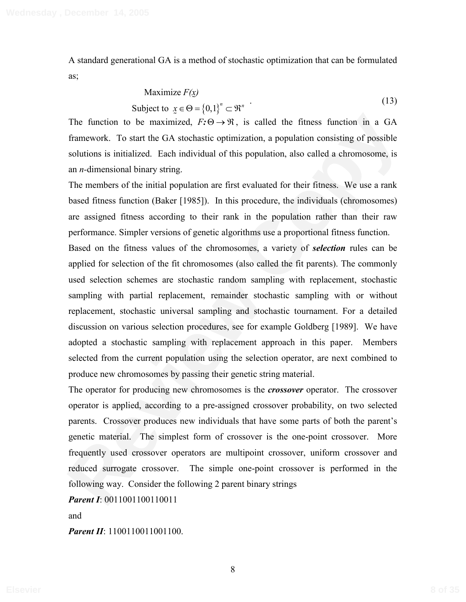A standard generational GA is a method of stochastic optimization that can be formulated as;

$$
\text{Maximize } F(x) \tag{13}
$$

$$
\text{Subject to } \mathbf{x} \in \Theta = \{0,1\}^n \subset \mathfrak{R}^n \tag{13}
$$

The function to be maximized,  $F: \Theta \to \Re$ , is called the fitness function in a GA framework. To start the GA stochastic optimization, a population consisting of possible solutions is initialized. Each individual of this population, also called a chromosome, is an *n-*dimensional binary string.

The members of the initial population are first evaluated for their fitness. We use a rank based fitness function (Baker [1985]). In this procedure, the individuals (chromosomes) are assigned fitness according to their rank in the population rather than their raw performance. Simpler versions of genetic algorithms use a proportional fitness function.

The function to be maximized,  $F: \Theta \rightarrow \Re$ , is called the fitness function in a GA framework. To start the GA stochastic optimization, a population consisting of possible solutions is initialized. Each indvidual of this pop Based on the fitness values of the chromosomes, a variety of *selection* rules can be applied for selection of the fit chromosomes (also called the fit parents). The commonly used selection schemes are stochastic random sampling with replacement, stochastic sampling with partial replacement, remainder stochastic sampling with or without replacement, stochastic universal sampling and stochastic tournament. For a detailed discussion on various selection procedures, see for example Goldberg [1989]. We have adopted a stochastic sampling with replacement approach in this paper. Members selected from the current population using the selection operator, are next combined to produce new chromosomes by passing their genetic string material.

The operator for producing new chromosomes is the *crossover* operator. The crossover operator is applied, according to a pre-assigned crossover probability, on two selected parents. Crossover produces new individuals that have some parts of both the parent's genetic material. The simplest form of crossover is the one-point crossover. More frequently used crossover operators are multipoint crossover, uniform crossover and reduced surrogate crossover. The simple one-point crossover is performed in the following way. Consider the following 2 parent binary strings

**Parent I**: 0011001100110011

and

*Parent II*: 1100110011001100.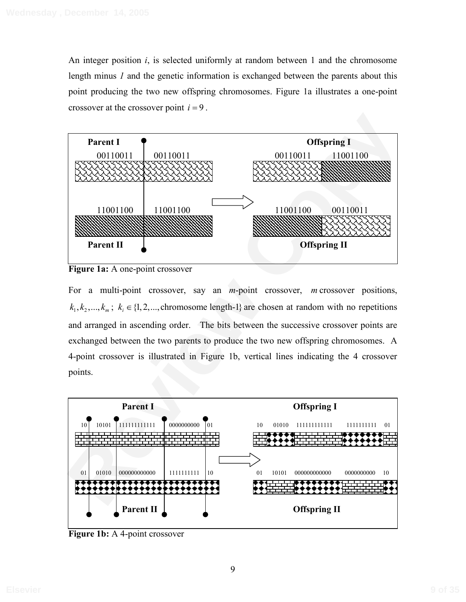An integer position *i*, is selected uniformly at random between 1 and the chromosome length minus *1* and the genetic information is exchanged between the parents about this point producing the two new offspring chromosomes. Figure 1a illustrates a one-point crossover at the crossover point *i* = 9 .



Figure 1a: A one-point crossover

For a multi-point crossover, say an *m*-point crossover, *m* crossover positions,  $k_1, k_2, ..., k_m$ ;  $k_i \in \{1, 2, ...,$ chromosome length-1} are chosen at random with no repetitions and arranged in ascending order. The bits between the successive crossover points are exchanged between the two parents to produce the two new offspring chromosomes. A 4-point crossover is illustrated in Figure 1b, vertical lines indicating the 4 crossover points.



**Figure 1b:** A 4-point crossover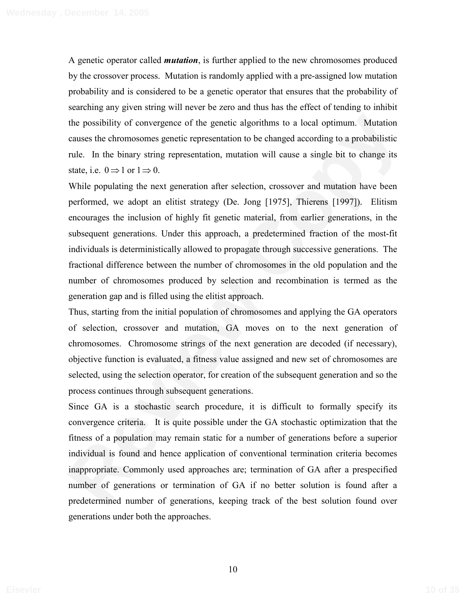A genetic operator called *mutation*, is further applied to the new chromosomes produced by the crossover process. Mutation is randomly applied with a pre-assigned low mutation probability and is considered to be a genetic operator that ensures that the probability of searching any given string will never be zero and thus has the effect of tending to inhibit the possibility of convergence of the genetic algorithms to a local optimum. Mutation causes the chromosomes genetic representation to be changed according to a probabilistic rule. In the binary string representation, mutation will cause a single bit to change its state, i.e.  $0 \Rightarrow 1$  or  $1 \Rightarrow 0$ .

the possibility of convergence of the genetic algorithms to a local optimum. Mutution causes the chromosomes genetic representation to be changed according to a probabilistic rule. In the binary string representation, mut While populating the next generation after selection, crossover and mutation have been performed, we adopt an elitist strategy (De. Jong [1975], Thierens [1997]). Elitism encourages the inclusion of highly fit genetic material, from earlier generations, in the subsequent generations. Under this approach, a predetermined fraction of the most-fit individuals is deterministically allowed to propagate through successive generations. The fractional difference between the number of chromosomes in the old population and the number of chromosomes produced by selection and recombination is termed as the generation gap and is filled using the elitist approach.

Thus, starting from the initial population of chromosomes and applying the GA operators of selection, crossover and mutation, GA moves on to the next generation of chromosomes. Chromosome strings of the next generation are decoded (if necessary), objective function is evaluated, a fitness value assigned and new set of chromosomes are selected, using the selection operator, for creation of the subsequent generation and so the process continues through subsequent generations.

Since GA is a stochastic search procedure, it is difficult to formally specify its convergence criteria. It is quite possible under the GA stochastic optimization that the fitness of a population may remain static for a number of generations before a superior individual is found and hence application of conventional termination criteria becomes inappropriate. Commonly used approaches are; termination of GA after a prespecified number of generations or termination of GA if no better solution is found after a predetermined number of generations, keeping track of the best solution found over generations under both the approaches.

10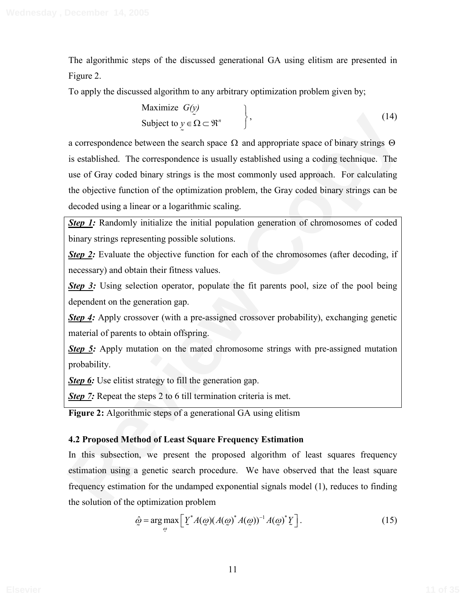The algorithmic steps of the discussed generational GA using elitism are presented in Figure 2.

To apply the discussed algorithm to any arbitrary optimization problem given by;

Maximize 
$$
G(\underline{y})
$$
  
\nSubject to  $\underline{y} \in \Omega \subset \mathbb{R}^n$  (14)

Subject to  $y \in \Omega \subset \mathbb{R}^n$ <br>
a correspondence between the search space  $\Omega$  and appropriate space of binary strings  $\Theta$ <br>
is established. The correspondence is usually established using a coding technique. The<br>
use of Gr a correspondence between the search space  $\Omega$  and appropriate space of binary strings  $\Theta$ is established. The correspondence is usually established using a coding technique. The use of Gray coded binary strings is the most commonly used approach. For calculating the objective function of the optimization problem, the Gray coded binary strings can be decoded using a linear or a logarithmic scaling.

*Step 1:* Randomly initialize the initial population generation of chromosomes of coded binary strings representing possible solutions.

*Step 2*: Evaluate the objective function for each of the chromosomes (after decoding, if necessary) and obtain their fitness values.

*Step 3:* Using selection operator, populate the fit parents pool, size of the pool being dependent on the generation gap.

*Step 4:* Apply crossover (with a pre-assigned crossover probability), exchanging genetic material of parents to obtain offspring.

**Step 5:** Apply mutation on the mated chromosome strings with pre-assigned mutation probability.

*Step 6:* Use elitist strategy to fill the generation gap.

**Step 7:** Repeat the steps 2 to 6 till termination criteria is met.

**Figure 2:** Algorithmic steps of a generational GA using elitism

## **4.2 Proposed Method of Least Square Frequency Estimation**

In this subsection, we present the proposed algorithm of least squares frequency estimation using a genetic search procedure. We have observed that the least square frequency estimation for the undamped exponential signals model (1), reduces to finding the solution of the optimization problem

$$
\hat{\omega} = \underset{\omega}{\arg \max} \left[ \underline{Y}^* A(\omega) (A(\omega)^* A(\omega))^{-1} A(\omega)^* \underline{Y} \right]. \tag{15}
$$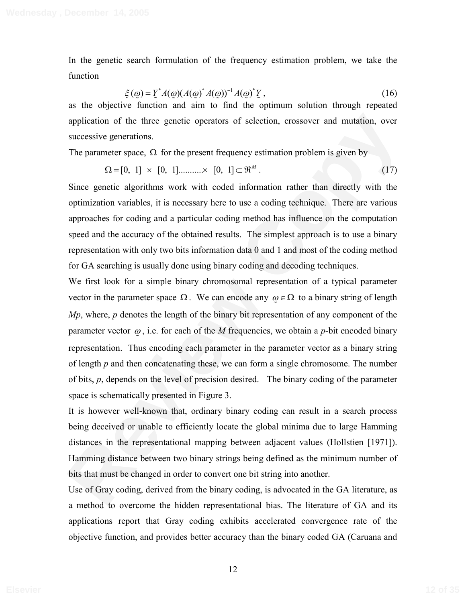In the genetic search formulation of the frequency estimation problem, we take the function

$$
\xi(\omega) = \underline{Y}^* A(\omega) (A(\omega)^* A(\omega))^{-1} A(\omega)^* \underline{Y}, \qquad (16)
$$

 $\xi(\omega) = \underline{y}^* A(\omega) (A(\omega))^* A(\omega)^* \underline{y}$ , (16)<br>as the objective function and aim to find the optimum solution through repeated application of the three genetic operators of selection, crossover and mutation, over successive generations.

The parameter space,  $\Omega$  for the present frequency estimation problem is given by

$$
\Omega = [0, 1] \times [0, 1] \dots \times [0, 1] \subset \mathfrak{R}^M. \tag{17}
$$

Since genetic algorithms work with coded information rather than directly with the optimization variables, it is necessary here to use a coding technique. There are various approaches for coding and a particular coding method has influence on the computation speed and the accuracy of the obtained results. The simplest approach is to use a binary representation with only two bits information data 0 and 1 and most of the coding method for GA searching is usually done using binary coding and decoding techniques.

application of the three genetic operators of selection, crossover and mutation, over<br>successive generations.<br>The paramete space,  $\Omega$  for the present frequency estimation problem is given by<br> $\Omega = |0, 1| \times |0, 1|$ .......... We first look for a simple binary chromosomal representation of a typical parameter vector in the parameter space  $\Omega$ . We can encode any  $\omega \in \Omega$  to a binary string of length *Mp*, where, *p* denotes the length of the binary bit representation of any component of the parameter vector  $\omega$ , i.e. for each of the *M* frequencies, we obtain a *p*-bit encoded binary  $\tilde{ }$ representation. Thus encoding each parameter in the parameter vector as a binary string of length *p* and then concatenating these, we can form a single chromosome. The number of bits, *p*, depends on the level of precision desired. The binary coding of the parameter space is schematically presented in Figure 3.

It is however well-known that, ordinary binary coding can result in a search process being deceived or unable to efficiently locate the global minima due to large Hamming distances in the representational mapping between adjacent values (Hollstien [1971]). Hamming distance between two binary strings being defined as the minimum number of bits that must be changed in order to convert one bit string into another.

Use of Gray coding, derived from the binary coding, is advocated in the GA literature, as a method to overcome the hidden representational bias. The literature of GA and its applications report that Gray coding exhibits accelerated convergence rate of the objective function, and provides better accuracy than the binary coded GA (Caruana and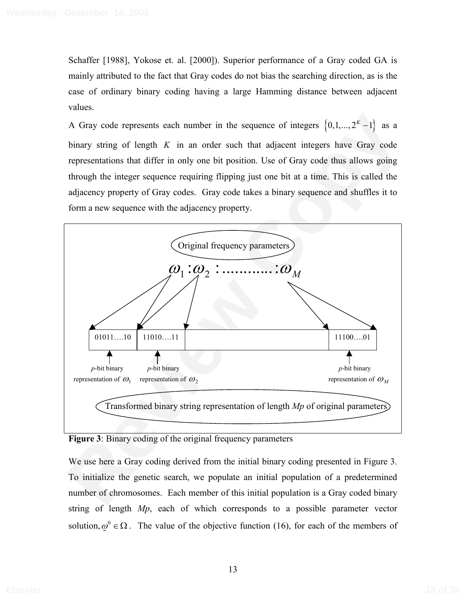Schaffer [1988], Yokose et. al. [2000]). Superior performance of a Gray coded GA is mainly attributed to the fact that Gray codes do not bias the searching direction, as is the case of ordinary binary coding having a large Hamming distance between adjacent values.

A Gray code represents each number in the sequence of integers  $\{0,1,...,2^K-1\}$  as a binary string of length *K* in an order such that adjacent integers have Gray code representations that differ in only one bit position. Use of Gray code thus allows going through the integer sequence requiring flipping just one bit at a time. This is called the adjacency property of Gray codes. Gray code takes a binary sequence and shuffles it to form a new sequence with the adjacency property.



**Figure 3**: Binary coding of the original frequency parameters

We use here a Gray coding derived from the initial binary coding presented in Figure 3. To initialize the genetic search, we populate an initial population of a predetermined number of chromosomes. Each member of this initial population is a Gray coded binary string of length *Mp*, each of which corresponds to a possible parameter vector solution,  $\omega^0 \in \Omega$ . The value of the objective function (16), for each of the members of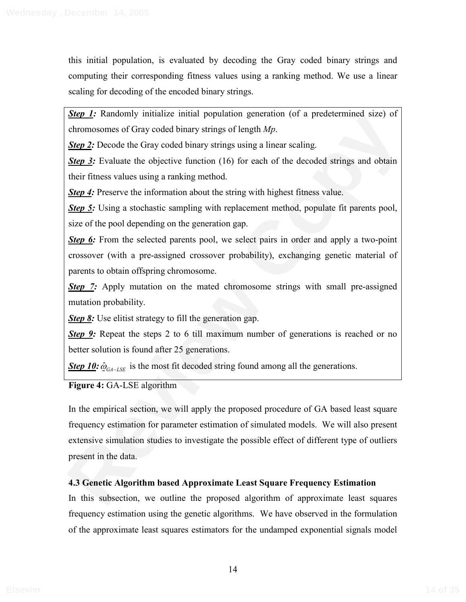this initial population, is evaluated by decoding the Gray coded binary strings and computing their corresponding fitness values using a ranking method. We use a linear scaling for decoding of the encoded binary strings.

*Step 1:* Randomly initialize initial population generation (of a predetermined size) of chromosomes of Gray coded binary strings of length *Mp*.

**Step 2:** Decode the Gray coded binary strings using a linear scaling.

*Step 3:* Evaluate the objective function (16) for each of the decoded strings and obtain their fitness values using a ranking method.

*Step 4:* Preserve the information about the string with highest fitness value.

*Step 5:* Using a stochastic sampling with replacement method, populate fit parents pool, size of the pool depending on the generation gap.

*Step 6:* From the selected parents pool, we select pairs in order and apply a two-point crossover (with a pre-assigned crossover probability), exchanging genetic material of parents to obtain offspring chromosome.

**Step 7:** Apply mutation on the mated chromosome strings with small pre-assigned mutation probability.

*Step 8:* Use elitist strategy to fill the generation gap.

**Step 9:** Repeat the steps 2 to 6 till maximum number of generations is reached or no better solution is found after 25 generations.

*Step 10:*  $\hat{\omega}_{GA-LSE}$  is the most fit decoded string found among all the generations.

**Figure 4:** GA-LSE algorithm

**Review** is trancomy instance minut population generation (or a predecermined size) of<br>
chromosomes of Gray coded binary strings of length *M<sub>p</sub>*.<br>
<u>Steve 2</u>: Decode the Gray coded binary strings using a linear scaling.<br>
<u></u> In the empirical section, we will apply the proposed procedure of GA based least square frequency estimation for parameter estimation of simulated models. We will also present extensive simulation studies to investigate the possible effect of different type of outliers present in the data.

## **4.3 Genetic Algorithm based Approximate Least Square Frequency Estimation**

In this subsection, we outline the proposed algorithm of approximate least squares frequency estimation using the genetic algorithms. We have observed in the formulation of the approximate least squares estimators for the undamped exponential signals model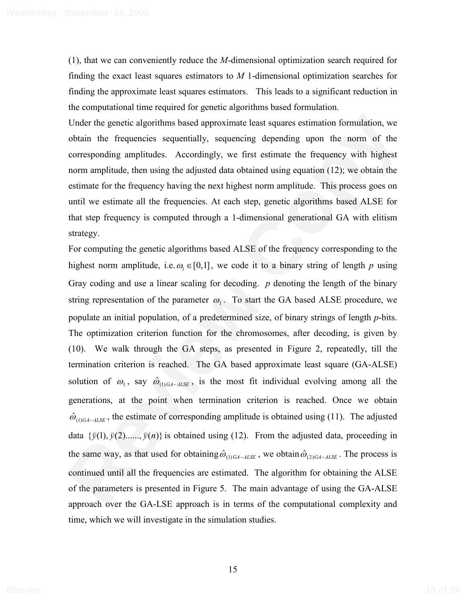(1), that we can conveniently reduce the *M*-dimensional optimization search required for finding the exact least squares estimators to *M* 1-dimensional optimization searches for finding the approximate least squares estimators. This leads to a significant reduction in the computational time required for genetic algorithms based formulation.

Under the genetic algorithms based approximate least squares estimation formulation, we obtain the frequencies sequentially, sequencing depending upon the norm of the corresponding amplitudes. Accordingly, we first estimate the frequency with highest norm amplitude, then using the adjusted data obtained using equation (12); we obtain the estimate for the frequency having the next highest norm amplitude. This process goes on until we estimate all the frequencies. At each step, genetic algorithms based ALSE for that step frequency is computed through a 1-dimensional generational GA with elitism strategy.

Under the genetic algorithms based approximate least squares estimation formulation, we<br>obtain the frequencies sequentially, sequencing depending upon the norm of the<br>corresponding amplitudes. Accordingly, we first estima For computing the genetic algorithms based ALSE of the frequency corresponding to the highest norm amplitude, i.e.  $\omega_1 \in [0,1]$ , we code it to a binary string of length *p* using Gray coding and use a linear scaling for decoding. *p* denoting the length of the binary string representation of the parameter  $\omega_1$ . To start the GA based ALSE procedure, we populate an initial population, of a predetermined size, of binary strings of length *p*-bits. The optimization criterion function for the chromosomes, after decoding, is given by (10). We walk through the GA steps, as presented in Figure 2, repeatedly, till the termination criterion is reached. The GA based approximate least square (GA-ALSE) solution of  $\omega_1$ , say  $\hat{\omega}_{(1)GA-ASE}$ , is the most fit individual evolving among all the generations, at the point when termination criterion is reached. Once we obtain  $\hat{\omega}_{(1)GA-ALSE}$ , the estimate of corresponding amplitude is obtained using (11). The adjusted data  $\{\tilde{y}(1), \tilde{y}(2), \ldots, \tilde{y}(n)\}$  is obtained using (12). From the adjusted data, proceeding in the same way, as that used for obtaining  $\hat{\omega}_{(1)G A \to A E E}$ , we obtain  $\hat{\omega}_{(2)G A \to A E E}$ . The process is continued until all the frequencies are estimated. The algorithm for obtaining the ALSE of the parameters is presented in Figure 5. The main advantage of using the GA-ALSE approach over the GA-LSE approach is in terms of the computational complexity and time, which we will investigate in the simulation studies.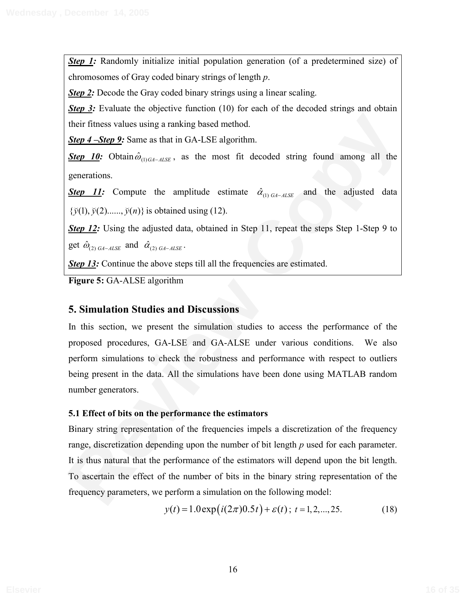*Step 1:* Randomly initialize initial population generation (of a predetermined size) of chromosomes of Gray coded binary strings of length *p*.

**Step 2:** Decode the Gray coded binary strings using a linear scaling.

*Step 3:* Evaluate the objective function (10) for each of the decoded strings and obtain their fitness values using a ranking based method.

*Step 4 –Step 9:* Same as that in GA-LSE algorithm.

*Step 10:* Obtain  $\hat{\omega}_{0.064-AUSE}$ , as the most fit decoded string found among all the generations.

*Step 11:* Compute the amplitude estimate  $\hat{\alpha}_{(1), G/A - ALSE}$  and the adjusted data  $\{\bar{y}(1), \bar{y}(2), \ldots, \bar{y}(n)\}\$ is obtained using (12).

**Step 12:** Using the adjusted data, obtained in Step 11, repeat the steps Step 1-Step 9 to get  $\hat{\omega}_{(2) G A - A LSE}$  and  $\hat{\alpha}_{(2) G A - A LSE}$ .

*Step 13:* Continue the above steps till all the frequencies are estimated.

**Figure 5:** GA-ALSE algorithm

# **5. Simulation Studies and Discussions**

**EVALUATION THENTION CONSUMATE SET AND INTERFERENT CONSUMPTED SCALUTE THE SET ALONG THE CONDUCT AND THE CONDUCT AND CONDUCT AND CONDUCT CONDUCT CONDUCT CONDUCT CONDUCT CONDUCT CONDUCT CONDUCT CONDUCT CONDUCT CONDUCT CONDU** In this section, we present the simulation studies to access the performance of the proposed procedures, GA-LSE and GA-ALSE under various conditions. We also perform simulations to check the robustness and performance with respect to outliers being present in the data. All the simulations have been done using MATLAB random number generators.

## **5.1 Effect of bits on the performance the estimators**

Binary string representation of the frequencies impels a discretization of the frequency range, discretization depending upon the number of bit length *p* used for each parameter. It is thus natural that the performance of the estimators will depend upon the bit length. To ascertain the effect of the number of bits in the binary string representation of the frequency parameters, we perform a simulation on the following model:

$$
y(t) = 1.0 \exp(i(2\pi)0.5t) + \varepsilon(t); t = 1, 2, \dots, 25.
$$
 (18)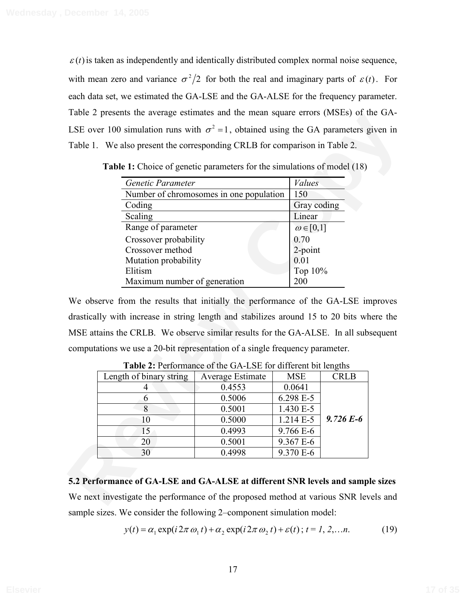$\varepsilon(t)$  is taken as independently and identically distributed complex normal noise sequence, with mean zero and variance  $\sigma^2/2$  for both the real and imaginary parts of  $\varepsilon(t)$ . For each data set, we estimated the GA-LSE and the GA-ALSE for the frequency parameter. Table 2 presents the average estimates and the mean square errors (MSEs) of the GA-LSE over 100 simulation runs with  $\sigma^2 = 1$ , obtained using the GA parameters given in Table 1. We also present the corresponding CRLB for comparison in Table 2.

| <b>Table 1:</b> Choice of genetic parameters for the simulations of model (18)                                                                                                                                                                                  |                                                              |                        |                                                                                   |  |
|-----------------------------------------------------------------------------------------------------------------------------------------------------------------------------------------------------------------------------------------------------------------|--------------------------------------------------------------|------------------------|-----------------------------------------------------------------------------------|--|
| Genetic Parameter                                                                                                                                                                                                                                               |                                                              | <b>Values</b>          |                                                                                   |  |
|                                                                                                                                                                                                                                                                 | Number of chromosomes in one population                      | 150                    |                                                                                   |  |
| Coding                                                                                                                                                                                                                                                          |                                                              | Gray coding            |                                                                                   |  |
| Scaling                                                                                                                                                                                                                                                         |                                                              | Linear                 |                                                                                   |  |
| Range of parameter                                                                                                                                                                                                                                              |                                                              | $\omega \in [0,1]$     |                                                                                   |  |
| Crossover probability                                                                                                                                                                                                                                           |                                                              | 0.70                   |                                                                                   |  |
| Crossover method                                                                                                                                                                                                                                                |                                                              | 2-point                |                                                                                   |  |
| Mutation probability                                                                                                                                                                                                                                            |                                                              | 0.01                   |                                                                                   |  |
| Elitism<br>Maximum number of generation                                                                                                                                                                                                                         |                                                              | Top 10%<br>200         |                                                                                   |  |
|                                                                                                                                                                                                                                                                 |                                                              |                        |                                                                                   |  |
|                                                                                                                                                                                                                                                                 |                                                              |                        | We observe from the results that initially the performance of the GA-LSE improves |  |
| drastically with increase in string length and stabilizes around 15 to 20 bits where the<br>MSE attains the CRLB. We observe similar results for the GA-ALSE. In all subsequent<br>computations we use a 20-bit representation of a single frequency parameter. |                                                              |                        |                                                                                   |  |
|                                                                                                                                                                                                                                                                 | Table 2: Performance of the GA-LSE for different bit lengths |                        |                                                                                   |  |
| Length of binary string                                                                                                                                                                                                                                         | Average Estimate                                             | <b>MSE</b>             | <b>CRLB</b>                                                                       |  |
| 4                                                                                                                                                                                                                                                               | 0.4553                                                       | 0.0641                 |                                                                                   |  |
| 6                                                                                                                                                                                                                                                               | 0.5006                                                       | 6.298 E-5              |                                                                                   |  |
| 8                                                                                                                                                                                                                                                               | 0.5001                                                       | 1.430 E-5              |                                                                                   |  |
| 10                                                                                                                                                                                                                                                              | 0.5000                                                       | $1.214 E-5$            | $9.726 E-6$                                                                       |  |
| 15                                                                                                                                                                                                                                                              | 0.4993                                                       | 9.766 E-6              |                                                                                   |  |
| 20<br>30                                                                                                                                                                                                                                                        | 0.5001<br>0.4998                                             | 9.367 E-6<br>9.370 E-6 |                                                                                   |  |

**Table 1:** Choice of genetic parameters for the simulations of model (18)

|                         | <b>THEIR EVERY DESCRIPTION OF A LIST TOT GETTY ON TOTALITY</b> |            |             |
|-------------------------|----------------------------------------------------------------|------------|-------------|
| Length of binary string | Average Estimate                                               | <b>MSE</b> | <b>CRLB</b> |
|                         | 0.4553                                                         | 0.0641     |             |
|                         | 0.5006                                                         | 6.298 E-5  |             |
|                         | 0.5001                                                         | 1.430 E-5  |             |
| 10                      | 0.5000                                                         | 1.214 E-5  | $9.726 E-6$ |
| 15                      | 0.4993                                                         | 9.766 E-6  |             |
| 20                      | 0.5001                                                         | 9.367 E-6  |             |
| 30                      | 0.4998                                                         | 9.370 E-6  |             |

**Table 2:** Performance of the GA-LSE for different bit lengths

#### **5.2 Performance of GA-LSE and GA-ALSE at different SNR levels and sample sizes**

We next investigate the performance of the proposed method at various SNR levels and sample sizes. We consider the following 2–component simulation model:

$$
y(t) = \alpha_1 \exp(i2\pi \omega_1 t) + \alpha_2 \exp(i2\pi \omega_2 t) + \varepsilon(t); t = 1, 2, \dots n. \tag{19}
$$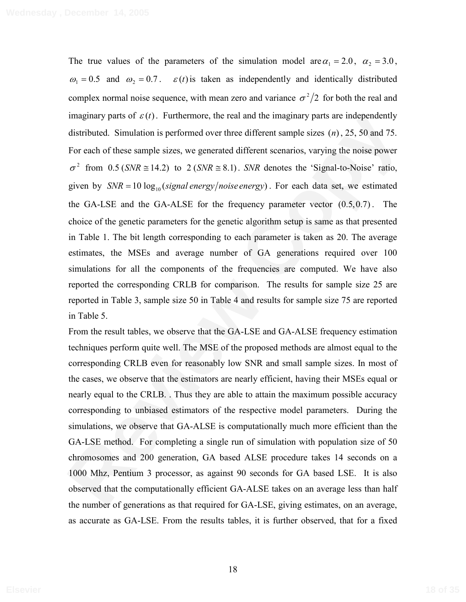imaginary parts of  $\alpha(t)$ . Furthermore, the real and the imaginary parts are independently<br>distributed. Simulation is performed over three different sample sizes (n), 25, 50 and 75.<br>For each of these sample sizes, we gene The true values of the parameters of the simulation model are  $\alpha_1 = 2.0$ ,  $\alpha_2 = 3.0$ ,  $\omega_1 = 0.5$  and  $\omega_2 = 0.7$ .  $\varepsilon(t)$  is taken as independently and identically distributed complex normal noise sequence, with mean zero and variance  $\sigma^2/2$  for both the real and imaginary parts of  $\varepsilon(t)$ . Furthermore, the real and the imaginary parts are independently distributed. Simulation is performed over three different sample sizes  $(n)$ , 25, 50 and 75. For each of these sample sizes, we generated different scenarios, varying the noise power  $\sigma^2$  from 0.5 (*SNR*  $\cong$  14.2) to 2 (*SNR*  $\cong$  8.1). *SNR* denotes the 'Signal-to-Noise' ratio, given by  $SNR = 10 \log_{10} (signal \, energy / noise \, energy)$ . For each data set, we estimated the GA-LSE and the GA-ALSE for the frequency parameter vector (0.5,0.7) . The choice of the genetic parameters for the genetic algorithm setup is same as that presented in Table 1. The bit length corresponding to each parameter is taken as 20. The average estimates, the MSEs and average number of GA generations required over 100 simulations for all the components of the frequencies are computed. We have also reported the corresponding CRLB for comparison. The results for sample size 25 are reported in Table 3, sample size 50 in Table 4 and results for sample size 75 are reported in Table 5.

From the result tables, we observe that the GA-LSE and GA-ALSE frequency estimation techniques perform quite well. The MSE of the proposed methods are almost equal to the corresponding CRLB even for reasonably low SNR and small sample sizes. In most of the cases, we observe that the estimators are nearly efficient, having their MSEs equal or nearly equal to the CRLB. . Thus they are able to attain the maximum possible accuracy corresponding to unbiased estimators of the respective model parameters. During the simulations, we observe that GA-ALSE is computationally much more efficient than the GA-LSE method. For completing a single run of simulation with population size of 50 chromosomes and 200 generation, GA based ALSE procedure takes 14 seconds on a 1000 Mhz, Pentium 3 processor, as against 90 seconds for GA based LSE. It is also observed that the computationally efficient GA-ALSE takes on an average less than half the number of generations as that required for GA-LSE, giving estimates, on an average, as accurate as GA-LSE. From the results tables, it is further observed, that for a fixed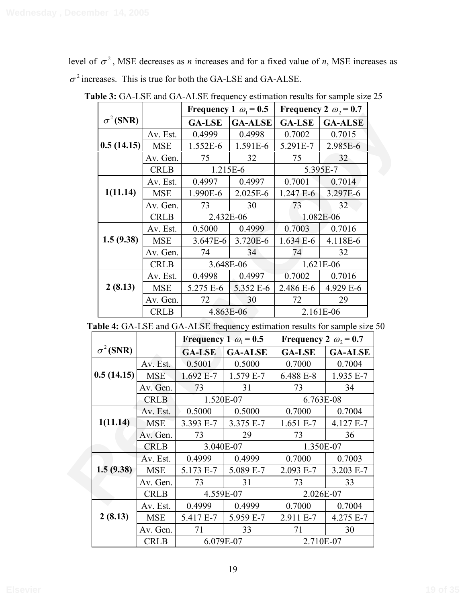level of  $\sigma^2$ , MSE decreases as *n* increases and for a fixed value of *n*, MSE increases as  $\sigma^2$  increases. This is true for both the GA-LSE and GA-ALSE.

|                 |             |                              | Frequency 1 $\omega_1$ = 0.5 |               | Frequency 2 $\omega_2$ = 0.7                                                |
|-----------------|-------------|------------------------------|------------------------------|---------------|-----------------------------------------------------------------------------|
| $\sigma^2(SNR)$ |             | <b>GA-LSE</b>                | <b>GA-ALSE</b>               | <b>GA-LSE</b> | <b>GA-ALSE</b>                                                              |
|                 | Av. Est.    | 0.4999                       | 0.4998                       | 0.7002        | 0.7015                                                                      |
| 0.5(14.15)      | <b>MSE</b>  | 1.552E-6                     | 1.591E-6                     | 5.291E-7      | 2.985E-6                                                                    |
|                 | Av. Gen.    | 75                           | 32                           | 75            | 32                                                                          |
|                 | <b>CRLB</b> |                              | 1.215E-6                     |               | 5.395E-7                                                                    |
|                 | Av. Est.    | 0.4997                       | 0.4997                       | 0.7001        | 0.7014                                                                      |
| 1(11.14)        | <b>MSE</b>  | 1.990E-6                     | 2.025E-6                     | 1.247 E-6     | 3.297E-6                                                                    |
|                 | Av. Gen.    | 73                           | 30                           | 73            | 32                                                                          |
|                 | <b>CRLB</b> |                              | 2.432E-06                    |               | 1.082E-06                                                                   |
|                 | Av. Est.    | 0.5000                       | 0.4999                       | 0.7003        | 0.7016                                                                      |
| 1.5(9.38)       | <b>MSE</b>  | 3.647E-6                     | 3.720E-6                     | $1.634 E-6$   | 4.118E-6                                                                    |
|                 | Av. Gen.    | 74                           | 34                           | 74            | 32                                                                          |
|                 | <b>CRLB</b> |                              | 3.648E-06                    |               | 1.621E-06                                                                   |
|                 | Av. Est.    | 0.4998                       | 0.4997                       | 0.7002        | 0.7016                                                                      |
| 2(8.13)         | <b>MSE</b>  | 5.275 E-6                    | 5.352 E-6                    | 2.486 E-6     | 4.929 E-6                                                                   |
|                 | Av. Gen.    | 72                           | 30                           | 72            | 29                                                                          |
|                 | <b>CRLB</b> |                              | 4.863E-06                    |               | 2.161E-06                                                                   |
|                 |             |                              |                              |               | Table 4: GA-LSE and GA-ALSE frequency estimation results for sample size 50 |
|                 |             | Frequency 1 $\omega_1$ = 0.5 |                              |               | Frequency 2 $\omega_2$ = 0.7                                                |
| $\sigma^2(SNR)$ |             | <b>GA-LSE</b>                | <b>GA-ALSE</b>               | <b>GA-LSE</b> | <b>GA-ALSE</b>                                                              |
|                 | Av. Est.    | 0.5001                       | 0.5000                       | 0.7000        | 0.7004                                                                      |
| 0.5(14.15)      | <b>MSE</b>  | 1.692 E-7                    | 1.579 E-7                    | 6.488 E-8     | 1.935 E-7                                                                   |
|                 | Av. Gen.    | 73                           | 31                           | 73            | 34                                                                          |
|                 | <b>CRLB</b> | 1.520E-07                    |                              |               | 6.763E-08                                                                   |
|                 | Av. Est.    | 0.5000                       | 0.5000                       | 0.7000        | 0.7004                                                                      |
| 1(11.14)        | <b>MSE</b>  | 3.393 E-7                    | 3.375 E-7                    | 1.651 E-7     | 4.127 E-7                                                                   |
|                 | Av. Gen.    | 73                           | 29                           | 73            | 36                                                                          |
|                 | <b>CRLB</b> | $3.040E - 07$                |                              |               | 1.350E-07                                                                   |
|                 | Av. Est.    | 0.4999                       | 0.4999                       | 0.7000        | 0.7003                                                                      |
| 1.5(9.38)       | <b>MSE</b>  | 5.173 E-7                    | 5.089 E-7                    | 2.093 E-7     | 3.203 E-7                                                                   |
|                 | Av. Gen.    | 73                           | 31                           | 73            | 33                                                                          |
|                 | <b>CRLB</b> | 4.559E-07                    |                              |               | 2.026E-07                                                                   |
|                 |             | 0.4000                       | 0.4000                       | 0.7000        | 0.7004                                                                      |

**Table 3:** GA-LSE and GA-ALSE frequency estimation results for sample size 25

|                 |             |               | Frequency 1 $\omega_1$ = 0.5 | Frequency 2 $\omega_2$ = 0.7 |                |
|-----------------|-------------|---------------|------------------------------|------------------------------|----------------|
| $\sigma^2(SNR)$ |             | <b>GA-LSE</b> | <b>GA-ALSE</b>               | <b>GA-LSE</b>                | <b>GA-ALSE</b> |
|                 | Av. Est.    | 0.5001        | 0.5000                       | 0.7000                       | 0.7004         |
| 0.5(14.15)      | <b>MSE</b>  | $1.692 E-7$   | 1.579 E-7                    | 6.488 E-8                    | 1.935 E-7      |
|                 | Av. Gen.    | 73            | 31                           | 73                           | 34             |
|                 | <b>CRLB</b> |               | 1.520E-07                    | 6.763E-08                    |                |
|                 | Av. Est.    | 0.5000        | 0.5000                       | 0.7000                       | 0.7004         |
| 1(11.14)        | <b>MSE</b>  | 3.393 E-7     | 3.375 E-7                    | 1.651 E-7                    | 4.127 E-7      |
|                 | Av. Gen.    | 73            | 29                           | 73                           | 36             |
|                 | <b>CRLB</b> |               | 3.040E-07                    | 1.350E-07                    |                |
|                 | Av. Est.    | 0.4999        | 0.4999                       | 0.7000                       | 0.7003         |
| 1.5(9.38)       | <b>MSE</b>  | 5.173 E-7     | 5.089 E-7                    | 2.093 E-7                    | 3.203 E-7      |
|                 | Av. Gen.    | 73            | 31                           | 73                           | 33             |
|                 | <b>CRLB</b> |               | 4.559E-07                    | 2.026E-07                    |                |
|                 | Av. Est.    | 0.4999        | 0.4999                       | 0.7000                       | 0.7004         |
| 2(8.13)         | <b>MSE</b>  | 5.417 E-7     | 5.959 E-7                    | 2.911 E-7                    | 4.275 E-7      |
|                 | Av. Gen.    | 71            | 33                           | 71                           | 30             |
|                 | <b>CRLB</b> | 6.079E-07     |                              | 2.710E-07                    |                |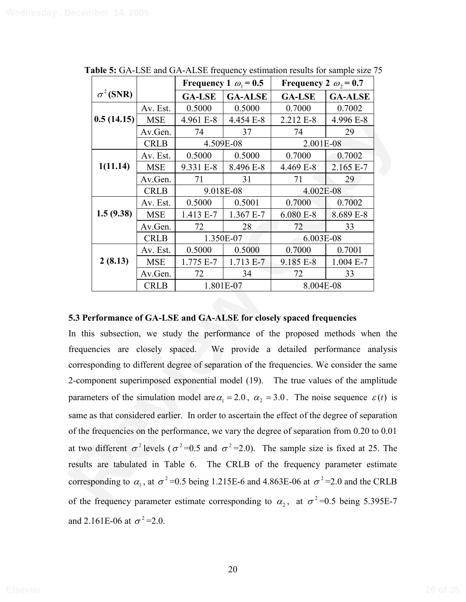|                 |             | Frequency 1 $\omega_1$ = 0.5 |                | Frequency 2 $\omega$ <sub>2</sub> = 0.7 |                |
|-----------------|-------------|------------------------------|----------------|-----------------------------------------|----------------|
| $\sigma^2(SNR)$ |             | <b>GA-LSE</b>                | <b>GA-ALSE</b> | <b>GA-LSE</b>                           | <b>GA-ALSE</b> |
|                 | Av. Est.    | 0.5000                       | 0.5000         | 0.7000                                  | 0.7002         |
| 0.5(14.15)      | <b>MSE</b>  | 4.961 E-8                    | 4.454 E-8      | 2.212 E-8                               | 4.996 E-8      |
|                 | Av.Gen.     | 74                           | 37             | 74                                      | 29             |
|                 | <b>CRLB</b> |                              | 4.509E-08      | 2.001E-08                               |                |
|                 | Av. Est.    | 0.5000                       | 0.5000         | 0.7000                                  | 0.7002         |
| 1(11.14)        | <b>MSE</b>  | 9.331 E-8                    | 8.496 E-8      | 4.469 E-8                               | 2.165 E-7      |
|                 | Av.Gen.     | 71                           | 31             | 71                                      | 29             |
|                 | <b>CRLB</b> |                              | 9.018E-08      | 4.002E-08                               |                |
|                 | Av. Est.    | 0.5000                       | 0.5001         | 0.7000                                  | 0.7002         |
| 1.5(9.38)       | <b>MSE</b>  | 1.413 E-7                    | 1.367 E-7      | 6.080 E-8                               | 8.689 E-8      |
|                 | Av.Gen.     | 72                           | 28             | 72                                      | 33             |
|                 | <b>CRLB</b> |                              | 1.350E-07      | 6.003E-08                               |                |
|                 | Av. Est.    | 0.5000                       | 0.5000         | 0.7000                                  | 0.7001         |
| 2(8.13)         | <b>MSE</b>  | 1.775 E-7                    | 1.713 E-7      | 9.185 E-8                               | $1.004 E-7$    |
|                 | Av.Gen.     | 72                           | 34             | 72                                      | 33             |
|                 | <b>CRLB</b> |                              | 1.801E-07      | 8.004E-08                               |                |

**Table 5:** GA-LSE and GA-ALSE frequency estimation results for sample size 75

#### **5.3 Performance of GA-LSE and GA-ALSE for closely spaced frequencies**

**0.5 (14.1.5)** MSE 4.96) E-8 4.454 E-8 2.212 E-8 4.996 E-8<br>
NXCen. 74 4.50 UE-9<br>
CRLB 4.509E-08<br>
CRLB 4.509E-08<br>
14.11.44) ASSE: 0.5000 0.5000 0.7000<br>
14.11.44) MSE: 9.331 E-8 8.496 E-8 4.469 E-8 2.165 E-7<br>
AVCen. 71 31 7 In this subsection, we study the performance of the proposed methods when the frequencies are closely spaced. We provide a detailed performance analysis corresponding to different degree of separation of the frequencies. We consider the same 2-component superimposed exponential model (19). The true values of the amplitude parameters of the simulation model are  $\alpha_1 = 2.0$ ,  $\alpha_2 = 3.0$ . The noise sequence  $\varepsilon(t)$  is same as that considered earlier. In order to ascertain the effect of the degree of separation of the frequencies on the performance, we vary the degree of separation from 0.20 to 0.01 at two different  $\sigma^2$  levels ( $\sigma^2$ =0.5 and  $\sigma^2$ =2.0). The sample size is fixed at 25. The results are tabulated in Table 6. The CRLB of the frequency parameter estimate corresponding to  $\alpha_1$ , at  $\sigma^2$ =0.5 being 1.215E-6 and 4.863E-06 at  $\sigma^2$ =2.0 and the CRLB of the frequency parameter estimate corresponding to  $\alpha_2$ , at  $\sigma^2$ =0.5 being 5.395E-7 and 2.161E-06 at  $\sigma^2$ =2.0.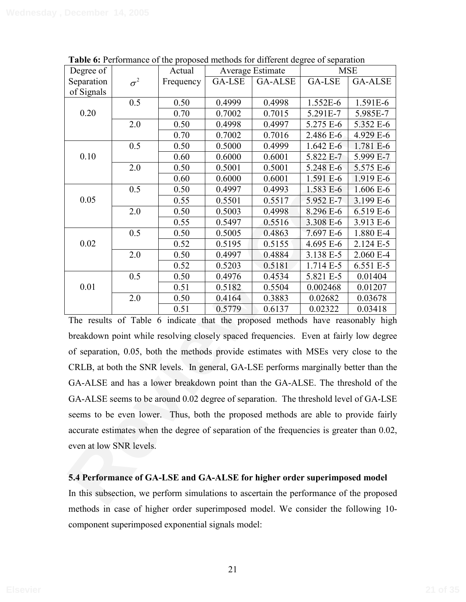|            |                         |           |        | who or I chommance of the proposed methods for unferent degree of separation |             |                                                                                           |
|------------|-------------------------|-----------|--------|------------------------------------------------------------------------------|-------------|-------------------------------------------------------------------------------------------|
| Degree of  |                         | Actual    |        | Average Estimate                                                             |             | <b>MSE</b>                                                                                |
| Separation | $\sigma^2$              | Frequency | GA-LSE | <b>GA-ALSE</b>                                                               | GA-LSE      | <b>GA-ALSE</b>                                                                            |
| of Signals |                         |           |        |                                                                              |             |                                                                                           |
|            | 0.5                     | 0.50      | 0.4999 | 0.4998                                                                       | 1.552E-6    | 1.591E-6                                                                                  |
| $0.20\,$   |                         | 0.70      | 0.7002 | 0.7015                                                                       | 5.291E-7    | 5.985E-7                                                                                  |
|            | 2.0                     | 0.50      | 0.4998 | 0.4997                                                                       | 5.275 E-6   | 5.352 E-6                                                                                 |
|            |                         | 0.70      | 0.7002 | 0.7016                                                                       | 2.486 E-6   | 4.929 E-6                                                                                 |
|            | 0.5                     | 0.50      | 0.5000 | 0.4999                                                                       | $1.642 E-6$ | 1.781 E-6                                                                                 |
| 0.10       |                         | 0.60      | 0.6000 | 0.6001                                                                       | 5.822 E-7   | 5.999 E-7                                                                                 |
|            | 2.0                     | 0.50      | 0.5001 | 0.5001                                                                       | 5.248 E-6   | 5.575 E-6                                                                                 |
|            |                         | 0.60      | 0.6000 | 0.6001                                                                       | 1.591 E-6   | 1.919 E-6                                                                                 |
|            | 0.5                     | 0.50      | 0.4997 | 0.4993                                                                       | $1.583 E-6$ | $1.606 E-6$                                                                               |
| 0.05       |                         | 0.55      | 0.5501 | 0.5517                                                                       | 5.952 E-7   | 3.199 E-6                                                                                 |
|            | 2.0                     | 0.50      | 0.5003 | 0.4998                                                                       | 8.296 E-6   | 6.519 E-6                                                                                 |
|            |                         | 0.55      | 0.5497 | 0.5516                                                                       | 3.308 E-6   | 3.913 E-6                                                                                 |
|            | 0.5                     | 0.50      | 0.5005 | 0.4863                                                                       | 7.697 E-6   | 1.880 E-4                                                                                 |
| 0.02       |                         | 0.52      | 0.5195 | 0.5155                                                                       | 4.695 E-6   | 2.124 E-5                                                                                 |
|            | 2.0                     | 0.50      | 0.4997 | 0.4884                                                                       | 3.138 E-5   | 2.060 E-4                                                                                 |
|            |                         | 0.52      | 0.5203 | 0.5181                                                                       | 1.714 E-5   | 6.551 E-5                                                                                 |
|            | 0.5                     | 0.50      | 0.4976 | 0.4534                                                                       | 5.821 E-5   | 0.01404                                                                                   |
| 0.01       |                         | 0.51      | 0.5182 | 0.5504                                                                       | 0.002468    | 0.01207                                                                                   |
|            | $\overline{2.0}$        | 0.50      | 0.4164 | 0.3883                                                                       | 0.02682     | 0.03678                                                                                   |
|            |                         | 0.51      | 0.5779 | 0.6137                                                                       | 0.02322     | 0.03418                                                                                   |
|            |                         |           |        |                                                                              |             | The results of Table 6 indicate that the proposed methods have reasonably high            |
|            |                         |           |        |                                                                              |             | breakdown point while resolving closely spaced frequencies. Even at fairly low degree     |
|            |                         |           |        |                                                                              |             | of separation, 0.05, both the methods provide estimates with MSEs very close to the       |
|            |                         |           |        |                                                                              |             | CRLB, at both the SNR levels. In general, GA-LSE performs marginally better than the      |
|            |                         |           |        |                                                                              |             | GA-ALSE and has a lower breakdown point than the GA-ALSE. The threshold of the            |
|            |                         |           |        |                                                                              |             | GA-ALSE seems to be around 0.02 degree of separation. The threshold level of GA-LSE       |
|            |                         |           |        |                                                                              |             | seems to be even lower. Thus, both the proposed methods are able to provide fairly        |
|            |                         |           |        |                                                                              |             | accurate estimates when the degree of separation of the frequencies is greater than 0.02, |
|            | even at low SNR levels. |           |        |                                                                              |             |                                                                                           |
|            |                         |           |        |                                                                              |             |                                                                                           |
|            |                         |           |        | 5.4 Performance of GA-LSE and GA-ALSE for higher order superimposed model    |             |                                                                                           |
|            |                         |           |        |                                                                              |             | In this subsection, we perform simulations to ascertain the performance of the proposed   |
|            |                         |           |        |                                                                              |             |                                                                                           |

**Table 6:** Performance of the proposed methods for different degree of separation

#### **5.4 Performance of GA-LSE and GA-ALSE for higher order superimposed model**

In this subsection, we perform simulations to ascertain the performance of the proposed methods in case of higher order superimposed model. We consider the following 10 component superimposed exponential signals model: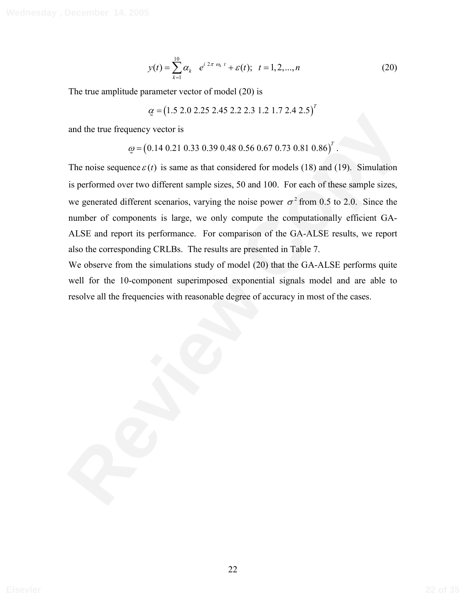$$
y(t) = \sum_{k=1}^{10} \alpha_k e^{i 2\pi \omega_k t} + \varepsilon(t); \quad t = 1, 2, ..., n
$$
 (20)

The true amplitude parameter vector of model (20) is

$$
\underline{\alpha} = (1.5 \ 2.0 \ 2.25 \ 2.45 \ 2.2 \ 2.3 \ 1.2 \ 1.7 \ 2.4 \ 2.5)^T
$$

and the true frequency vector is

$$
\omega = (0.14\ 0.21\ 0.33\ 0.39\ 0.48\ 0.56\ 0.67\ 0.73\ 0.81\ 0.86)^T.
$$

and the true frequency vector is<br>  $\omega = (0.14 \ 0.21 \ 0.33 \ 0.39 \ 0.48 \ 0.56 \ 0.67 \ 0.73 \ 0.81 \ 0.86)^{7}$ .<br>
The noise sequence  $x(t)$  is sume as that considered for models (18) and (19). Simulation<br>
is performed over two diff The noise sequence  $\varepsilon(t)$  is same as that considered for models (18) and (19). Simulation is performed over two different sample sizes, 50 and 100. For each of these sample sizes, we generated different scenarios, varying the noise power  $\sigma^2$  from 0.5 to 2.0. Since the number of components is large, we only compute the computationally efficient GA-ALSE and report its performance. For comparison of the GA-ALSE results, we report also the corresponding CRLBs. The results are presented in Table 7.

We observe from the simulations study of model (20) that the GA-ALSE performs quite well for the 10-component superimposed exponential signals model and are able to resolve all the frequencies with reasonable degree of accuracy in most of the cases.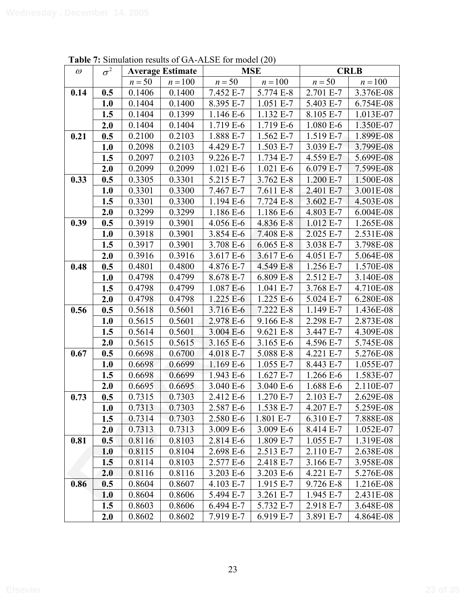|          |            |                     |                         | <b>EXPLORE 1.</b> SHIRTHARD LOSURIS OF CHAPALISE TOF HOUGH (20) |             |             |             |
|----------|------------|---------------------|-------------------------|-----------------------------------------------------------------|-------------|-------------|-------------|
| $\omega$ | $\sigma^2$ |                     | <b>Average Estimate</b> |                                                                 | <b>MSE</b>  |             | <b>CRLB</b> |
|          |            | $n = 50$            | $n = 100$               | $n = 50$                                                        | $n = 100$   | $n = 50$    | $n = 100$   |
| 0.14     | 0.5        | 0.1406              | 0.1400                  | 7.452 E-7                                                       | 5.774 E-8   | 2.701 E-7   | 3.376E-08   |
|          | 1.0        | 0.1404              | 0.1400                  | 8.395 E-7                                                       | 1.051 E-7   | 5.403 E-7   | 6.754E-08   |
|          | 1.5        | 0.1404              | 0.1399                  | 1.146 E-6                                                       | 1.132 E-7   | 8.105 E-7   | 1.013E-07   |
|          | 2.0        | 0.1404              | 0.1404                  | 1.719 E-6                                                       | 1.719 E-6   | 1.080 E-6   | 1.350E-07   |
| 0.21     | 0.5        | 0.2100              | 0.2103                  | 1.888 E-7                                                       | 1.562 E-7   | 1.519 E-7   | 1.899E-08   |
|          | 1.0        | 0.2098              | 0.2103                  | 4.429 E-7                                                       | 1.503 E-7   | 3.039 E-7   | 3.799E-08   |
|          | 1.5        | 0.2097              | 0.2103                  | 9.226 E-7                                                       | 1.734 E-7   | 4.559 E-7   | 5.699E-08   |
|          | 2.0        | 0.2099              | 0.2099                  | $1.021 E-6$                                                     | $1.021 E-6$ | 6.079 E-7   | 7.599E-08   |
| 0.33     | 0.5        | 0.3305              | 0.3301                  | 5.215 E-7                                                       | 3.762 E-8   | 1.200 E-7   | 1.500E-08   |
|          | 1.0        | 0.3301              | 0.3300                  | 7.467 E-7                                                       | 7.611 E-8   | 2.401 E-7   | 3.001E-08   |
|          | 1.5        | 0.3301              | 0.3300                  | 1.194 E-6                                                       | 7.724 E-8   | $3.602 E-7$ | 4.503E-08   |
|          | 2.0        | 0.3299              | 0.3299                  | 1.186 E-6                                                       | 1.186 E-6   | 4.803 E-7   | 6.004E-08   |
| 0.39     | 0.5        | 0.3919              | 0.3901                  | 4.056 E-6                                                       | 4.836 E-8   | $1.012 E-7$ | 1.265E-08   |
|          | 1.0        | 0.3918              | 0.3901                  | 3.854 E-6                                                       | 7.408 E-8   | 2.025 E-7   | 2.531E-08   |
|          | 1.5        | 0.3917              | 0.3901                  | 3.708 E-6                                                       | $6.065 E-8$ | 3.038 E-7   | 3.798E-08   |
|          | 2.0        | 0.3916              | 0.3916                  | 3.617 E-6                                                       | 3.617 E-6   | 4.051 E-7   | 5.064E-08   |
| 0.48     | 0.5        | 0.4801              | 0.4800                  | 4.876 E-7                                                       | 4.549 E-8   | 1.256 E-7   | 1.570E-08   |
|          | 1.0        | 0.4798              | 0.4799                  | 8.678 E-7                                                       | 6.809 E-8   | 2.512 E-7   | 3.140E-08   |
|          | 1.5        | 0.4798              | 0.4799                  | 1.087 E-6                                                       | 1.041 E-7   | 3.768 E-7   | 4.710E-08   |
|          | 2.0        | 0.4798              | 0.4798                  | $1.225 E-6$                                                     | $1.225 E-6$ | 5.024 E-7   | 6.280E-08   |
| 0.56     | 0.5        | 0.5618              | 0.5601                  | 3.716 E-6                                                       | 7.222 E-8   | 1.149 E-7   | 1.436E-08   |
|          | 1.0        | 0.5615              | 0.5601                  | 2.978 E-6                                                       | 9.166 E-8   | 2.298 E-7   | 2.873E-08   |
|          | 1.5        | 0.5614              | 0.5601                  | 3.004 E-6                                                       | 9.621 E-8   | 3.447 E-7   | 4.309E-08   |
|          | 2.0        | 0.5615              | 0.5615                  | 3.165 E-6                                                       | $3.165 E-6$ | 4.596 E-7   | 5.745E-08   |
| 0.67     | 0.5        | 0.6698              | 0.6700                  | 4.018 E-7                                                       | 5.088 E-8   | 4.221 E-7   | 5.276E-08   |
|          | 1.0        | 0.6698              | 0.6699                  | 1.169 E-6                                                       | 1.055 E-7   | 8.443 E-7   | 1.055E-07   |
|          | 1.5        | 0.6698              | 0.6699                  | 1.943 E-6                                                       | 1.627 E-7   | 1.266 E-6   | 1.583E-07   |
|          | 2.0        | 0.6695              | 0.6695                  | 3.040 E-6                                                       | 3.040 E-6   | 1.688 E-6   | 2.110E-07   |
| 0.73     | 0.5        | $\overline{0.7315}$ | 0.7303                  | $2.412 E-6$                                                     | 1.270 E-7   | 2.103 E-7   | 2.629E-08   |
|          | 1.0        | 0.7313              | 0.7303                  | 2.587 E-6                                                       | 1.538 E-7   | 4.207 E-7   | 5.259E-08   |
|          | 1.5        | 0.7314              | 0.7303                  | 2.580 E-6                                                       | 1.801 E-7   | 6.310 E-7   | 7.888E-08   |
|          | 2.0        | 0.7313              | 0.7313                  | 3.009 E-6                                                       | 3.009 E-6   | 8.414 E-7   | 1.052E-07   |
| 0.81     | 0.5        | 0.8116              | 0.8103                  | 2.814 E-6                                                       | 1.809 E-7   | 1.055 E-7   | 1.319E-08   |
|          | 1.0        | 0.8115              | 0.8104                  | 2.698 E-6                                                       | 2.513 E-7   | 2.110 E-7   | 2.638E-08   |
|          | 1.5        | 0.8114              | 0.8103                  | 2.577 E-6                                                       | 2.418 E-7   | 3.166 E-7   | 3.958E-08   |
|          | 2.0        | 0.8116              | 0.8116                  | $3.203 E-6$                                                     | $3.203 E-6$ | 4.221 E-7   | 5.276E-08   |
| 0.86     | 0.5        | 0.8604              | 0.8607                  | 4.103 E-7                                                       | 1.915 E-7   | 9.726 E-8   | 1.216E-08   |
|          | 1.0        | 0.8604              | 0.8606                  | 5.494 E-7                                                       | 3.261 E-7   | 1.945 E-7   | 2.431E-08   |
|          | 1.5        | 0.8603              | 0.8606                  | 6.494 E-7                                                       | 5.732 E-7   | 2.918 E-7   | 3.648E-08   |
|          | 2.0        | 0.8602              | 0.8602                  | 7.919 E-7                                                       | 6.919 E-7   | 3.891 E-7   | 4.864E-08   |

Table 7: Simulation results of GA-ALSE for model (20)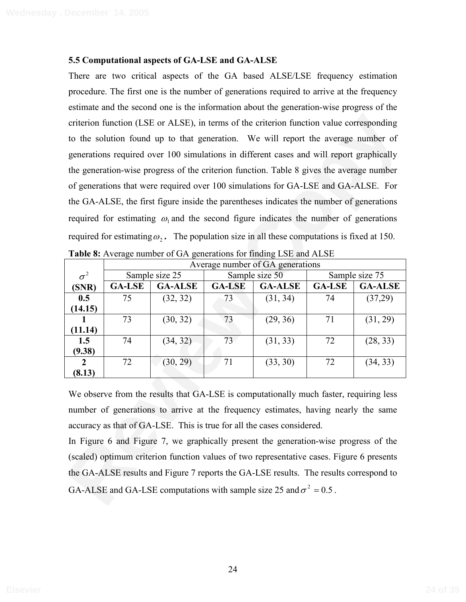#### **5.5 Computational aspects of GA-LSE and GA-ALSE**

eriterion function (LSE or ALSE), in terms of the criterion function value corresponding<br>to the solution found up to that generation. We will report the average number of<br>generations required over 100 simulations in diffe There are two critical aspects of the GA based ALSE/LSE frequency estimation procedure. The first one is the number of generations required to arrive at the frequency estimate and the second one is the information about the generation-wise progress of the criterion function (LSE or ALSE), in terms of the criterion function value corresponding to the solution found up to that generation. We will report the average number of generations required over 100 simulations in different cases and will report graphically the generation-wise progress of the criterion function. Table 8 gives the average number of generations that were required over 100 simulations for GA-LSE and GA-ALSE. For the GA-ALSE, the first figure inside the parentheses indicates the number of generations required for estimating  $\omega$  and the second figure indicates the number of generations required for estimating  $\omega$ , The population size in all these computations is fixed at 150.

|                  |               | Average number of GA generations |               |                |                |                |  |  |  |  |  |  |
|------------------|---------------|----------------------------------|---------------|----------------|----------------|----------------|--|--|--|--|--|--|
| $\sigma^2$       |               | Sample size 25                   |               | Sample size 50 | Sample size 75 |                |  |  |  |  |  |  |
| (SNR)            | <b>GA-LSE</b> | <b>GA-ALSE</b>                   | <b>GA-LSE</b> | <b>GA-ALSE</b> | <b>GA-LSE</b>  | <b>GA-ALSE</b> |  |  |  |  |  |  |
| 0.5              | 75            | (32, 32)                         | 73            | (31, 34)       | 74             | (37,29)        |  |  |  |  |  |  |
| (14.15)          |               |                                  |               |                |                |                |  |  |  |  |  |  |
|                  | 73            | (30, 32)                         | 73            | (29, 36)       | 71             | (31, 29)       |  |  |  |  |  |  |
| (11.14)          |               |                                  |               |                |                |                |  |  |  |  |  |  |
| 1.5              | 74            | (34, 32)                         | 73            | (31, 33)       | 72             | (28, 33)       |  |  |  |  |  |  |
| (9.38)           |               |                                  |               |                |                |                |  |  |  |  |  |  |
| $\boldsymbol{2}$ | 72            | (30, 29)                         | 71            | (33, 30)       | 72             | (34, 33)       |  |  |  |  |  |  |
| (8.13)           |               |                                  |               |                |                |                |  |  |  |  |  |  |

**Table 8:** Average number of GA generations for finding LSE and ALSE

We observe from the results that GA-LSE is computationally much faster, requiring less number of generations to arrive at the frequency estimates, having nearly the same accuracy as that of GA-LSE. This is true for all the cases considered.

In Figure 6 and Figure 7, we graphically present the generation-wise progress of the (scaled) optimum criterion function values of two representative cases. Figure 6 presents the GA-ALSE results and Figure 7 reports the GA-LSE results. The results correspond to GA-ALSE and GA-LSE computations with sample size 25 and  $\sigma^2 = 0.5$ .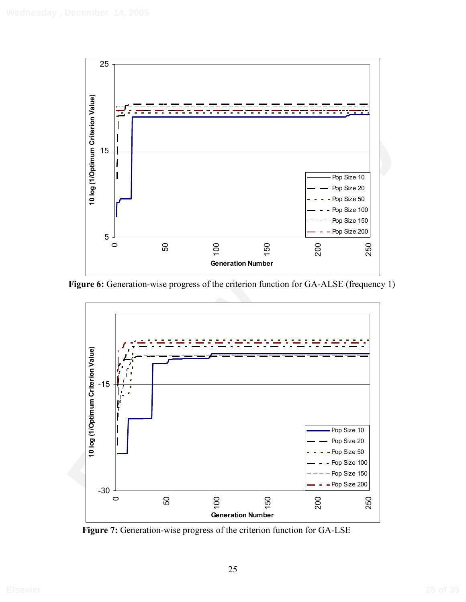

Figure 6: Generation-wise progress of the criterion function for GA-ALSE (frequency 1)



**Figure 7:** Generation-wise progress of the criterion function for GA-LSE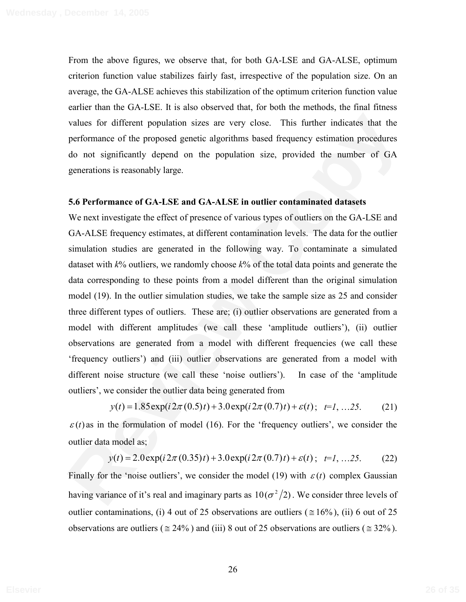From the above figures, we observe that, for both GA-LSE and GA-ALSE, optimum criterion function value stabilizes fairly fast, irrespective of the population size. On an average, the GA-ALSE achieves this stabilization of the optimum criterion function value earlier than the GA-LSE. It is also observed that, for both the methods, the final fitness values for different population sizes are very close. This further indicates that the performance of the proposed genetic algorithms based frequency estimation procedures do not significantly depend on the population size, provided the number of GA generations is reasonably large.

#### **5.6 Performance of GA-LSE and GA-ALSE in outlier contaminated datasets**

values for different population sizes are very close. This further indicates that the<br>performance of the proposed genetic algorithms based frequency estimation procedures<br>do not significantly depend on the population size We next investigate the effect of presence of various types of outliers on the GA-LSE and GA-ALSE frequency estimates, at different contamination levels. The data for the outlier simulation studies are generated in the following way. To contaminate a simulated dataset with *k*% outliers, we randomly choose *k*% of the total data points and generate the data corresponding to these points from a model different than the original simulation model (19). In the outlier simulation studies, we take the sample size as 25 and consider three different types of outliers. These are; (i) outlier observations are generated from a model with different amplitudes (we call these 'amplitude outliers'), (ii) outlier observations are generated from a model with different frequencies (we call these 'frequency outliers') and (iii) outlier observations are generated from a model with different noise structure (we call these 'noise outliers'). In case of the 'amplitude outliers', we consider the outlier data being generated from

$$
y(t) = 1.85 \exp(i2\pi (0.5)t) + 3.0 \exp(i2\pi (0.7)t) + \varepsilon(t); \quad t=1, \dots 25. \tag{21}
$$

 $\varepsilon(t)$  as in the formulation of model (16). For the 'frequency outliers', we consider the outlier data model as;

$$
y(t) = 2.0 \exp(i2\pi (0.35)t) + 3.0 \exp(i2\pi (0.7)t) + \varepsilon(t); \quad t=1, \dots, 25. \tag{22}
$$

Finally for the 'noise outliers', we consider the model (19) with  $\varepsilon(t)$  complex Gaussian having variance of it's real and imaginary parts as  $10(\sigma^2/2)$ . We consider three levels of outlier contaminations, (i) 4 out of 25 observations are outliers ( $\approx 16\%$ ), (ii) 6 out of 25 observations are outliers ( $\approx 24\%$ ) and (iii) 8 out of 25 observations are outliers ( $\approx 32\%$ ).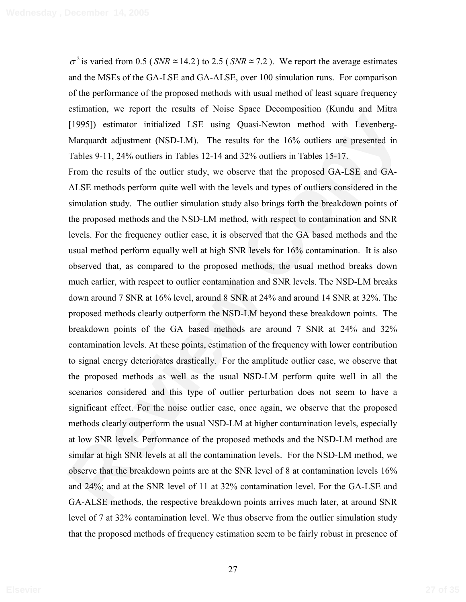$\sigma^2$  is varied from 0.5 (*SNR*  $\approx$  14.2) to 2.5 (*SNR*  $\approx$  7.2). We report the average estimates and the MSEs of the GA-LSE and GA-ALSE, over 100 simulation runs. For comparison of the performance of the proposed methods with usual method of least square frequency estimation, we report the results of Noise Space Decomposition (Kundu and Mitra [1995]) estimator initialized LSE using Quasi-Newton method with Levenberg-Marquardt adjustment (NSD-LM). The results for the 16% outliers are presented in Tables 9-11, 24% outliers in Tables 12-14 and 32% outliers in Tables 15-17.

[1995]) estimator initialized LSE using Quasi-Newton method with Levenberg-Marquardt adjustment (NSD-LM). The results for the 16% outliers are presented in Tables 9-11, 24% outliers in Tables 12-14 and 32% outliers in Tabl From the results of the outlier study, we observe that the proposed GA-LSE and GA-ALSE methods perform quite well with the levels and types of outliers considered in the simulation study. The outlier simulation study also brings forth the breakdown points of the proposed methods and the NSD-LM method, with respect to contamination and SNR levels. For the frequency outlier case, it is observed that the GA based methods and the usual method perform equally well at high SNR levels for 16% contamination. It is also observed that, as compared to the proposed methods, the usual method breaks down much earlier, with respect to outlier contamination and SNR levels. The NSD-LM breaks down around 7 SNR at 16% level, around 8 SNR at 24% and around 14 SNR at 32%. The proposed methods clearly outperform the NSD-LM beyond these breakdown points. The breakdown points of the GA based methods are around 7 SNR at 24% and 32% contamination levels. At these points, estimation of the frequency with lower contribution to signal energy deteriorates drastically. For the amplitude outlier case, we observe that the proposed methods as well as the usual NSD-LM perform quite well in all the scenarios considered and this type of outlier perturbation does not seem to have a significant effect. For the noise outlier case, once again, we observe that the proposed methods clearly outperform the usual NSD-LM at higher contamination levels, especially at low SNR levels. Performance of the proposed methods and the NSD-LM method are similar at high SNR levels at all the contamination levels. For the NSD-LM method, we observe that the breakdown points are at the SNR level of 8 at contamination levels 16% and 24%; and at the SNR level of 11 at 32% contamination level. For the GA-LSE and GA-ALSE methods, the respective breakdown points arrives much later, at around SNR level of 7 at 32% contamination level. We thus observe from the outlier simulation study that the proposed methods of frequency estimation seem to be fairly robust in presence of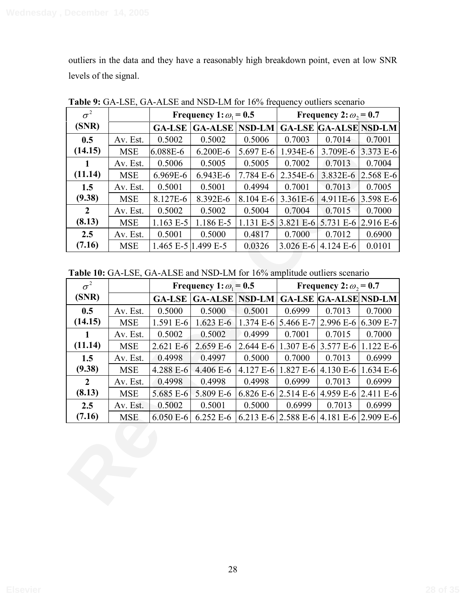outliers in the data and they have a reasonably high breakdown point, even at low SNR levels of the signal.

| $\sigma^2$   |            |               | Frequency 1: $\omega_1$ = 0.5 |               |               | Frequency 2: $\omega_2$ = 0.7 |             |
|--------------|------------|---------------|-------------------------------|---------------|---------------|-------------------------------|-------------|
| (SNR)        |            | <b>GA-LSE</b> | <b>GA-ALSE</b>                | <b>NSD-LM</b> | <b>GA-LSE</b> | <b>GA-ALSE NSD-LM</b>         |             |
| 0.5          | Av. Est.   | 0.5002        | 0.5002                        | 0.5006        | 0.7003        | 0.7014                        | 0.7001      |
| (14.15)      | <b>MSE</b> | 6.088E-6      | 6.200E-6                      | 5.697 E-6     | 1.934E-6      | 3.709E-6                      | 3.373 E-6   |
|              | Av. Est.   | 0.5006        | 0.5005                        | 0.5005        | 0.7002        | 0.7013                        | 0.7004      |
| (11.14)      | <b>MSE</b> | 6.969E-6      | 6.943E-6                      | 7.784 E-6     | 2.354E-6      | 3.832E-6                      | 2.568 E-6   |
| 1.5          | Av. Est.   | 0.5001        | 0.5001                        | 0.4994        | 0.7001        | 0.7013                        | 0.7005      |
| (9.38)       | <b>MSE</b> | 8.127E-6      | 8.392E-6                      | 8.104 E-6     | 3.361E-6      | 4.911E-6                      | 3.598 $E-6$ |
| $\mathbf{2}$ | Av. Est.   | 0.5002        | 0.5002                        | 0.5004        | 0.7004        | 0.7015                        | 0.7000      |
| (8.13)       | <b>MSE</b> | $1.163 E-5$   | 1.186 E-5                     | $1.131 E-5$   |               | 3.821 E-6 5.731 E-6 2.916 E-6 |             |
| 2.5          | Av. Est.   | 0.5001        | 0.5000                        | 0.4817        | 0.7000        | 0.7012                        | 0.6900      |
| (7.16)       | <b>MSE</b> |               | 1.465 E-5   1.499 E-5         | 0.0326        | $3.026 E-6$   | $4.124 E-6$                   | 0.0101      |

**Table 9:** GA-LSE, GA-ALSE and NSD-LM for 16% frequency outliers scenario

**Table 10:** GA-LSE, GA-ALSE and NSD-LM for 16% amplitude outliers scenario

|                |                        |                       | Frequency 1: $\omega_1$ = 0.5                                                                             |           |             | Frequency 2: $\omega_2$ = 0.7                     |           |
|----------------|------------------------|-----------------------|-----------------------------------------------------------------------------------------------------------|-----------|-------------|---------------------------------------------------|-----------|
| (SNR)          |                        | GA-LSE                | <b>GA-ALSE NSD-LM</b>                                                                                     |           |             | <b>GA-LSE</b> GA-ALSE NSD-LM                      |           |
| 0.5            | Av. Est.               | 0.5002                | 0.5002                                                                                                    | 0.5006    | 0.7003      | 0.7014                                            | 0.7001    |
| (14.15)        | <b>MSE</b>             | 6.088E-6              | 6.200E-6                                                                                                  | 5.697 E-6 | 1.934E-6    | 3.709E-6                                          | 3.373 E-6 |
| $\mathbf{1}$   | Av. Est.               | 0.5006                | 0.5005                                                                                                    | 0.5005    | 0.7002      | 0.7013                                            | 0.7004    |
| (11.14)        | <b>MSE</b>             | 6.969E-6              | 6.943E-6                                                                                                  | 7.784 E-6 | 2.354E-6    | 3.832E-6                                          | 2.568 E-6 |
| 1.5            | Av. Est.               | 0.5001                | 0.5001                                                                                                    | 0.4994    | 0.7001      | 0.7013                                            | 0.7005    |
| (9.38)         | <b>MSE</b>             | 8.127E-6              | 8.392E-6                                                                                                  | 8.104 E-6 | 3.361E-6    | 4.911E-6                                          | 3.598 E-6 |
| $\overline{2}$ | Av. Est.               | 0.5002                | 0.5002                                                                                                    | 0.5004    | 0.7004      | 0.7015                                            | 0.7000    |
| (8.13)         | <b>MSE</b>             | $1.163 E-5$           | 1.186 E-5                                                                                                 | 1.131 E-5 | 3.821 E-6   | 5.731 E-6                                         | 2.916 E-6 |
| 2.5            | Av. Est.               | 0.5001                | 0.5000                                                                                                    | 0.4817    | 0.7000      | 0.7012                                            | 0.6900    |
| (7.16)         | <b>MSE</b>             | 1.465 E-5 1.499 E-5   |                                                                                                           | 0.0326    | $3.026$ E-6 | 4.124 E-6                                         | 0.0101    |
|                |                        |                       |                                                                                                           |           |             |                                                   |           |
| $\sigma^2$     |                        |                       | Table 10: GA-LSE, GA-ALSE and NSD-LM for 16% amplitude outliers scenario<br>Frequency 1: $\omega_1$ = 0.5 |           |             |                                                   |           |
| (SNR)          |                        |                       |                                                                                                           |           |             | Frequency 2: $\omega_2$ = 0.7                     |           |
| 0.5            |                        | GA-LSE<br>0.5000      | <b>GA-ALSE NSD-LM</b><br>0.5000                                                                           | 0.5001    | 0.6999      | <b>GA-LSE</b> GA-ALSE NSD-LM<br>0.7013            | 0.7000    |
| (14.15)        | Av. Est.<br><b>MSE</b> | 1.591 E-6             | $1.623 E-6$                                                                                               | 1.374 E-6 | 5.466 E-7   | 2.996 E-6 6.309 E-7                               |           |
| 1              | Av. Est.               | 0.5002                | 0.5002                                                                                                    | 0.4999    | 0.7001      | 0.7015                                            | 0.7000    |
| (11.14)        | <b>MSE</b>             | 2.621 E-6             | 2.659 E-6                                                                                                 | 2.644 E-6 |             | 1.307 E-6 3.577 E-6 1.122 E-6                     |           |
| 1.5            | Av. Est.               | 0.4998                | 0.4997                                                                                                    | 0.5000    | 0.7000      | 0.7013                                            | 0.6999    |
| (9.38)         | <b>MSE</b>             | 4.288 E-6             | 4.406 E-6                                                                                                 | 4.127 E-6 | $1.827 E-6$ | 4.130 E-6                                         | 1.634 E-6 |
| $\overline{2}$ | Av. Est.               | 0.4998                | 0.4998                                                                                                    | 0.4998    | 0.6999      | 0.7013                                            | 0.6999    |
| (8.13)         | <b>MSE</b>             | 5.685 E-6             | 5.809 E-6                                                                                                 |           |             | 6.826 E-6 2.514 E-6 4.959 E-6 2.411 E-6           |           |
| 2.5<br>(7.16)  | Av. Est.               | 0.5002<br>$6.050 E-6$ | 0.5001<br>6.252 E-6                                                                                       | 0.5000    | 0.6999      | 0.7013<br>6.213 E-6 2.588 E-6 4.181 E-6 2.909 E-6 | 0.6999    |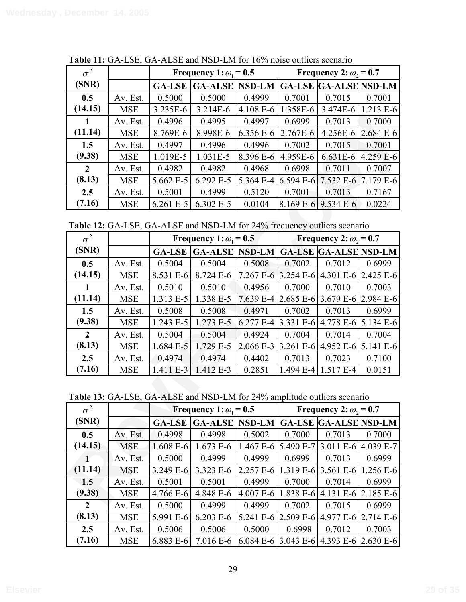| $\sigma^2$   |            |               | Frequency 1: $\omega_1$ = 0.5 |               |               | Frequency 2: $\omega_2$ = 0.7 |              |
|--------------|------------|---------------|-------------------------------|---------------|---------------|-------------------------------|--------------|
| (SNR)        |            | <b>GA-LSE</b> | <b>GA-ALSE</b>                | <b>NSD-LM</b> | <b>GA-LSE</b> | <b>GA-ALSE NSD-LM</b>         |              |
| 0.5          | Av. Est.   | 0.5000        | 0.5000                        | 0.4999        | 0.7001        | 0.7015                        | 0.7001       |
| (14.15)      | <b>MSE</b> | 3.235E-6      | 3.214E-6                      | 4.108 E-6     | 1.358E-6      | 3.474E-6                      | 1.213 E-6    |
| 1            | Av. Est.   | 0.4996        | 0.4995                        | 0.4997        | 0.6999        | 0.7013                        | 0.7000       |
| (11.14)      | <b>MSE</b> | 8.769E-6      | 8.998E-6                      | 6.356 E-6     | 2.767E-6      | 4.256E-6                      | 2.684 E-6    |
| 1.5          | Av. Est.   | 0.4997        | 0.4996                        | 0.4996        | 0.7002        | 0.7015                        | 0.7001       |
| (9.38)       | <b>MSE</b> | 1.019E-5      | $1.031E - 5$                  | 8.396 E-6     | 4.959E-6      | 6.631E-6                      | 4.259 E-6    |
| $\mathbf{2}$ | Av. Est.   | 0.4982        | 0.4982                        | 0.4968        | 0.6998        | 0.7011                        | 0.7007       |
| (8.13)       | <b>MSE</b> | $5.662 E-5$   | $6.292 E-5$                   | 5.364 E-4     | $6.594 E-6$   | $7.532 E-6$                   | $17.179 E-6$ |
| 2.5          | Av. Est.   | 0.5001        | 0.4999                        | 0.5120        | 0.7001        | 0.7013                        | 0.7167       |
| (7.16)       | <b>MSE</b> | $6.261 E-5$   | $6.302 E-5$                   | 0.0104        | 8.169 E-6     | $9.534 E-6$                   | 0.0224       |

**Table 11:** GA-LSE, GA-ALSE and NSD-LM for 16% noise outliers scenario

**Table 12:** GA-LSE, GA-ALSE and NSD-LM for 24% frequency outliers scenario

| $\mathbf{1}$                                                                                                                                             | Av. Est.                     | 0.4996                       | 0.4995                                             | 0.4997    | 0.6999     | 0.7013                                  | 0.7000        |  |  |
|----------------------------------------------------------------------------------------------------------------------------------------------------------|------------------------------|------------------------------|----------------------------------------------------|-----------|------------|-----------------------------------------|---------------|--|--|
| (11.14)                                                                                                                                                  | <b>MSE</b>                   | 8.769E-6                     | 8.998E-6                                           | 6.356 E-6 | 2.767E-6   | 4.256E-6                                | 2.684 E-6     |  |  |
| 1.5                                                                                                                                                      | Av. Est.                     | 0.4997                       | 0.4996                                             | 0.4996    | 0.7002     | 0.7015                                  | 0.7001        |  |  |
| (9.38)                                                                                                                                                   | <b>MSE</b>                   | 1.019E-5                     | $1.031E-5$                                         | 8.396 E-6 | 4.959E-6   | $6.631E-6$                              | 4.259 E-6     |  |  |
| $\overline{2}$                                                                                                                                           | Av. Est.                     | 0.4982                       | 0.4982                                             | 0.4968    | 0.6998     | 0.7011                                  | 0.7007        |  |  |
| (8.13)                                                                                                                                                   | <b>MSE</b>                   | 5.662 E-5                    | 6.292 E-5                                          | 5.364 E-4 | $6.594E-6$ | 7.532 E-6                               | 7.179 E-6     |  |  |
| 2.5                                                                                                                                                      | Av. Est.                     | 0.5001                       | 0.4999                                             | 0.5120    | 0.7001     | 0.7013                                  | 0.7167        |  |  |
| (7.16)                                                                                                                                                   | <b>MSE</b>                   | 6.261 E-5                    | 6.302 E-5                                          | 0.0104    |            | 8.169 E-6 9.534 E-6                     | 0.0224        |  |  |
| Table 12: GA-LSE, GA-ALSE and NSD-LM for 24% frequency outliers scenario<br>$\sigma^2$<br>Frequency 1: $\omega_1$ = 0.5<br>Frequency 2: $\omega_2$ = 0.7 |                              |                              |                                                    |           |            |                                         |               |  |  |
| (SNR)                                                                                                                                                    |                              |                              | <b>GA-LSE GA-ALSE NSD-LM GA-LSE GA-ALSE NSD-LM</b> |           |            |                                         |               |  |  |
| 0.5                                                                                                                                                      | Av. Est.                     | 0.5004                       | 0.5004                                             | 0.5008    | 0.7002     | 0.7012                                  | 0.6999        |  |  |
| (14.15)                                                                                                                                                  | <b>MSE</b>                   | 8.531 E-6                    | 8.724 E-6                                          | 7.267 E-6 |            | $3.254$ E-6 4.301 E-6 2.425 E-6         |               |  |  |
| 1                                                                                                                                                        | Av. Est.                     | 0.5010                       | 0.5010                                             | 0.4956    | 0.7000     | 0.7010                                  | 0.7003        |  |  |
| (11.14)                                                                                                                                                  | <b>MSE</b>                   | 1.313 E-5                    | 1.338 E-5                                          | 7.639 E-4 |            | 2.685 E-6 3.679 E-6 2.984 E-6           |               |  |  |
| 1.5                                                                                                                                                      | Av. Est.                     | 0.5008                       | 0.5008                                             | 0.4971    | 0.7002     | 0.7013                                  | 0.6999        |  |  |
| (9.38)                                                                                                                                                   | <b>MSE</b>                   | 1.243 E-5                    | 1.273 E-5                                          | 6.277 E-4 |            | 3.331 E-6 4.778 E-6 5.134 E-6           |               |  |  |
| $\overline{2}$                                                                                                                                           | Av. Est.                     | 0.5004                       | 0.5004                                             | 0.4924    | 0.7004     | 0.7014                                  | 0.7004        |  |  |
| (8.13)                                                                                                                                                   | <b>MSE</b>                   | 1.684 E-5                    | 1.729 E-5                                          |           |            | 2.066 E-3 3.261 E-6 4.952 E-6 5.141 E-6 |               |  |  |
| 2.5                                                                                                                                                      | Av. Est.                     | 0.4974                       | 0.4974                                             | 0.4402    | 0.7013     | 0.7023                                  | 0.7100        |  |  |
| (7.16)                                                                                                                                                   | <b>MSE</b>                   | 1.411 E-3                    | 1.412 E-3                                          | 0.2851    | 1.494 E-4  | 1.517 E-4                               | 0.0151        |  |  |
| Table 13: GA-LSE, GA-ALSE and NSD-LM for 24% amplitude outliers scenario<br>$\sigma^2$<br>Frequency 1: $\omega_1$ = 0.5<br>Frequency 2: $\omega_2$ = 0.7 |                              |                              |                                                    |           |            |                                         |               |  |  |
| (SNR)                                                                                                                                                    |                              | <b>GA-LSE</b>                | <b>GA-ALSE NSD-LM</b>                              |           |            | <b>GA-LSE</b> GA-ALSE NSD-LM            |               |  |  |
| 0.5                                                                                                                                                      | Av. Est.                     | 0.4998                       | 0.4998                                             | 0.5002    | 0.7000     | 0.7013                                  | 0.7000        |  |  |
| (14.15)                                                                                                                                                  | <b>MSE</b>                   | $1.608 E-6$                  | 1.673 E-6                                          |           |            | 1.467 E-6 5.490 E-7 3.011 E-6 4.039 E-7 |               |  |  |
| $\mathbf{1}$                                                                                                                                             | Av. Est.                     | 0.5000                       | 0.4999                                             | 0.4999    | 0.6999     | 0.7013                                  | 0.6999        |  |  |
| (11.14)                                                                                                                                                  | <b>MSE</b>                   | 3.249 E-6                    | 3.323 E-6                                          | 2.257 E-6 |            | 1.319 E-6 3.561 E-6                     | 1.256 E-6     |  |  |
| 1.5                                                                                                                                                      | Av. Est.                     | 0.5001                       | 0.5001                                             | 0.4999    | 0.7000     | 0.7014                                  | 0.6999        |  |  |
| (9.38)                                                                                                                                                   | <b>MSE</b>                   | 4.766 E-6                    | 4.848 E-6                                          |           |            | 4.007 E-6 1.838 E-6 4.131 E-6 2.185 E-6 |               |  |  |
| $\bullet$                                                                                                                                                | $\Lambda_{xx}$ $\Gamma_{04}$ | $\Omega$ c $\Omega$ $\Omega$ | 0.4000                                             | 0.4000    | 0.7002     | 0.7015                                  | $\alpha$ cooo |  |  |

| $\sigma^2$     |            |               | Frequency 1: $\omega_1$ = 0.5 |               | Frequency 2: $\omega_2$ = 0.7 |                       |             |  |
|----------------|------------|---------------|-------------------------------|---------------|-------------------------------|-----------------------|-------------|--|
| (SNR)          |            | <b>GA-LSE</b> | <b>GA-ALSE</b>                | <b>NSD-LM</b> | <b>GA-LSE</b>                 | <b>GA-ALSE NSD-LM</b> |             |  |
| 0.5            | Av. Est.   | 0.4998        | 0.4998                        | 0.5002        | 0.7000                        | 0.7013                | 0.7000      |  |
| (14.15)        | <b>MSE</b> | $1.608 E-6$   | $1.673 E-6$                   | 1.467 $E$ -6  | 5.490 E-7                     | $3.011 E-6$           | 4.039 E-7   |  |
| 1              | Av. Est.   | 0.5000        | 0.4999                        | 0.4999        | 0.6999                        | 0.7013                | 0.6999      |  |
| (11.14)        | <b>MSE</b> | 3.249 E-6     | 3.323 E-6                     | $2.257 E-6$   |                               | $1.319$ E-6 3.561 E-6 | 1.256 $E-6$ |  |
| 1.5            | Av. Est.   | 0.5001        | 0.5001                        | 0.4999        | 0.7000                        | 0.7014                | 0.6999      |  |
| (9.38)         | <b>MSE</b> | 4.766 $E-6$   | 4.848 E-6                     | $4.007 E-6$   | $1.838 E-6$                   | 4.131 E-6 2.185 E-6   |             |  |
| $\overline{2}$ | Av. Est.   | 0.5000        | 0.4999                        | 0.4999        | 0.7002                        | 0.7015                | 0.6999      |  |
| (8.13)         | <b>MSE</b> | 5.991 $E-6$   | $6.203 E-6$                   | 5.241 $E-6$   | $2.509 E-6$                   | $4.977 E-6$ 2.714 E-6 |             |  |
| 2.5            | Av. Est.   | 0.5006        | 0.5006                        | 0.5000        | 0.6998                        | 0.7012                | 0.7003      |  |
| (7.16)         | <b>MSE</b> | $6.883 E-6$   | 7.016 E-6                     | $6.084 E-6$   | $3.043 E-6$                   | 4.393 E-6 2.630 E-6   |             |  |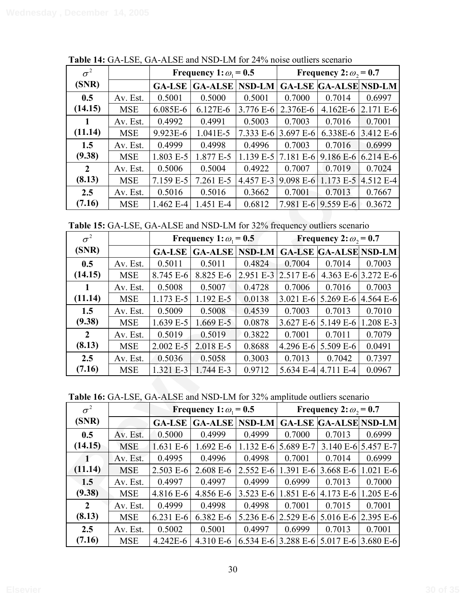| $\sigma^2$     |            | Frequency 1: $\omega_1$ = 0.5 |                |               | Frequency 2: $\omega_2$ = 0.7 |                       |             |  |
|----------------|------------|-------------------------------|----------------|---------------|-------------------------------|-----------------------|-------------|--|
| (SNR)          |            | <b>GA-LSE</b>                 | <b>GA-ALSE</b> | <b>NSD-LM</b> | <b>GA-LSE</b>                 | <b>GA-ALSE NSD-LM</b> |             |  |
| 0.5            | Av. Est.   | 0.5001                        | 0.5000         | 0.5001        | 0.7000                        | 0.7014                | 0.6997      |  |
| (14.15)        | <b>MSE</b> | 6.085E-6                      | $6.127E-6$     | 3.776 E-6     | 2.376E-6                      | 4.162E-6              | 2.171 E-6   |  |
| 1              | Av. Est.   | 0.4992                        | 0.4991         | 0.5003        | 0.7003                        | 0.7016                | 0.7001      |  |
| (11.14)        | <b>MSE</b> | 9.923E-6                      | 1.041E-5       | 7.333 E-6     | $3.697 E-6$                   | 6.338E-6              | 3.412 E-6   |  |
| 1.5            | Av. Est.   | 0.4999                        | 0.4998         | 0.4996        | 0.7003                        | 0.7016                | 0.6999      |  |
| (9.38)         | <b>MSE</b> | $1.803 E-5$                   | 1.877 E-5      | 1.139 E-5     | 7.181 E-6                     | 9.186 E-6             | $6.214 E-6$ |  |
| $\overline{2}$ | Av. Est.   | 0.5006                        | 0.5004         | 0.4922        | 0.7007                        | 0.7019                | 0.7024      |  |
| (8.13)         | <b>MSE</b> | 7.159 E-5                     | $7.261 E-5$    | 4.457 E-3     | 9.098 E-6                     | $1.173 E-5$           | 4.512 E-4   |  |
| 2.5            | Av. Est.   | 0.5016                        | 0.5016         | 0.3662        | 0.7001                        | 0.7013                | 0.7667      |  |
| (7.16)         | <b>MSE</b> | $1.462 E-4$                   | 1.451 E-4      | 0.6812        | 7.981 E-6                     | $9.559 E-6$           | 0.3672      |  |

**Table 14:** GA-LSE, GA-ALSE and NSD-LM for 24% noise outliers scenario

**Table 15:** GA-LSE, GA-ALSE and NSD-LM for 32% frequency outliers scenario

| $\mathbf{1}$                                                                                                                                             | Av. Est.                     | 0.4992        | 0.4991                                             | 0.5003    | 0.7003    | 0.7016                                  | 0.7001      |  |  |
|----------------------------------------------------------------------------------------------------------------------------------------------------------|------------------------------|---------------|----------------------------------------------------|-----------|-----------|-----------------------------------------|-------------|--|--|
| (11.14)                                                                                                                                                  | <b>MSE</b>                   | 9.923E-6      | $1.041E-5$                                         | 7.333 E-6 | 3.697 E-6 | 6.338E-6                                | 3.412 E-6   |  |  |
| 1.5                                                                                                                                                      | Av. Est.                     | 0.4999        | 0.4998                                             | 0.4996    | 0.7003    | 0.7016                                  | 0.6999      |  |  |
| (9.38)                                                                                                                                                   | <b>MSE</b>                   | 1.803 E-5     | 1.877 E-5                                          | 1.139 E-5 |           | 7.181 E-6 9.186 E-6 6.214 E-6           |             |  |  |
| $\overline{2}$                                                                                                                                           | Av. Est.                     | 0.5006        | 0.5004                                             | 0.4922    | 0.7007    | 0.7019                                  | 0.7024      |  |  |
| (8.13)                                                                                                                                                   | <b>MSE</b>                   | 7.159 E-5     | 7.261 E-5                                          | 4.457 E-3 |           | 9.098 E-6 1.173 E-5 4.512 E-4           |             |  |  |
| 2.5                                                                                                                                                      | Av. Est.                     | 0.5016        | 0.5016                                             | 0.3662    | 0.7001    | 0.7013                                  | 0.7667      |  |  |
| (7.16)                                                                                                                                                   | <b>MSE</b>                   | 1.462 E-4     | 1.451 E-4                                          | 0.6812    |           | 7.981 E-6 9.559 E-6                     | 0.3672      |  |  |
| Table 15: GA-LSE, GA-ALSE and NSD-LM for 32% frequency outliers scenario<br>$\sigma^2$<br>Frequency 1: $\omega_1$ = 0.5<br>Frequency 2: $\omega_2$ = 0.7 |                              |               |                                                    |           |           |                                         |             |  |  |
| (SNR)                                                                                                                                                    |                              |               | <b>GA-LSE GA-ALSE NSD-LM GA-LSE GA-ALSE NSD-LM</b> |           |           |                                         |             |  |  |
| 0.5                                                                                                                                                      | Av. Est.                     | 0.5011        | 0.5011                                             | 0.4824    | 0.7004    | 0.7014                                  | 0.7003      |  |  |
| (14.15)                                                                                                                                                  | <b>MSE</b>                   | 8.745 E-6     | 8.825 E-6                                          | 2.951 E-3 |           | 2.517 E-6 4.363 E-6 3.272 E-6           |             |  |  |
| 1                                                                                                                                                        | Av. Est.                     | 0.5008        | 0.5007                                             | 0.4728    | 0.7006    | 0.7016                                  | 0.7003      |  |  |
| (11.14)                                                                                                                                                  | <b>MSE</b>                   | 1.173 E-5     | 1.192 E-5                                          | 0.0138    |           | 3.021 E-6 5.269 E-6 4.564 E-6           |             |  |  |
| 1.5                                                                                                                                                      | Av. Est.                     | 0.5009        | 0.5008                                             | 0.4539    | 0.7003    | 0.7013                                  | 0.7010      |  |  |
| (9.38)                                                                                                                                                   | <b>MSE</b>                   | 1.639 E-5     | 1.669 E-5                                          | 0.0878    |           | $3.627 E-6$ 5.149 E-6                   | 1.208 E-3   |  |  |
| $\overline{2}$                                                                                                                                           | Av. Est.                     | 0.5019        | 0.5019                                             | 0.3822    | 0.7001    | 0.7011                                  | 0.7079      |  |  |
| (8.13)                                                                                                                                                   | <b>MSE</b>                   | 2.002 E-5     | 2.018 E-5                                          | 0.8688    |           | 4.296 E-6 5.509 E-6                     | 0.0491      |  |  |
| 2.5                                                                                                                                                      | Av. Est.                     | 0.5036        | 0.5058                                             | 0.3003    | 0.7013    | 0.7042                                  | 0.7397      |  |  |
| (7.16)                                                                                                                                                   | <b>MSE</b>                   | 1.321 E-3     | 1.744 E-3                                          | 0.9712    |           | 5.634 E-4 $ 4.711$ E-4                  | 0.0967      |  |  |
| Table 16: GA-LSE, GA-ALSE and NSD-LM for 32% amplitude outliers scenario<br>$\sigma^2$<br>Frequency 1: $\omega_1$ = 0.5<br>Frequency 2: $\omega_2$ = 0.7 |                              |               |                                                    |           |           |                                         |             |  |  |
| (SNR)                                                                                                                                                    |                              | <b>GA-LSE</b> | <b>GA-ALSE NSD-LM</b>                              |           |           | <b>GA-LSE</b> GA-ALSE NSD-LM            |             |  |  |
| 0.5                                                                                                                                                      | Av. Est.                     | 0.5000        | 0.4999                                             | 0.4999    | 0.7000    | 0.7013                                  | 0.6999      |  |  |
| (14.15)                                                                                                                                                  | <b>MSE</b>                   | $1.631 E-6$   | 1.692 E-6                                          |           |           | 1.132 E-6 5.689 E-7 3.140 E-6 5.457 E-7 |             |  |  |
| $\mathbf{1}$                                                                                                                                             | Av. Est.                     | 0.4995        | 0.4996                                             | 0.4998    | 0.7001    | 0.7014                                  | 0.6999      |  |  |
| (11.14)                                                                                                                                                  | <b>MSE</b>                   | 2.503 E-6     | 2.608 E-6                                          | 2.552 E-6 |           | 1.391 E-6 3.668 E-6                     | $1.021 E-6$ |  |  |
| 1.5                                                                                                                                                      | Av. Est.                     | 0.4997        | 0.4997                                             | 0.4999    | 0.6999    | 0.7013                                  | 0.7000      |  |  |
| (9.38)                                                                                                                                                   | <b>MSE</b>                   | 4.816 $E-6$   | 4.856 E-6                                          |           |           | 3.523 E-6 1.851 E-6 4.173 E-6 1.205 E-6 |             |  |  |
| $\bullet$                                                                                                                                                | $\Lambda_{xx}$ $\Gamma_{04}$ | 0.4000        | 0.4000                                             | 0.4000    | 0.7001    | 0.7015                                  | 0.7001      |  |  |

| $\sigma^2$   |            | Frequency 1: $\omega_1$ = 0.5 |                |               | Frequency 2: $\omega_2$ = 0.7 |                               |                     |  |
|--------------|------------|-------------------------------|----------------|---------------|-------------------------------|-------------------------------|---------------------|--|
| (SNR)        |            | <b>GA-LSE</b>                 | <b>GA-ALSE</b> | <b>NSD-LM</b> | <b>GA-LSE</b>                 | <b>GA-ALSE NSD-LM</b>         |                     |  |
| 0.5          | Av. Est.   | 0.5000                        | 0.4999         | 0.4999        | 0.7000                        | 0.7013                        | 0.6999              |  |
| (14.15)      | <b>MSE</b> | $1.631 E-6$                   | $1.692 E-6$    | $1.132 E-6$   | 5.689 E-7                     |                               | 3.140 E-6 5.457 E-7 |  |
| 1            | Av. Est.   | 0.4995                        | 0.4996         | 0.4998        | 0.7001                        | 0.7014                        | 0.6999              |  |
| (11.14)      | <b>MSE</b> | $2.503 E-6$                   | $2.608 E-6$    | $2.552 E-6$   | 1.391 $E-6$                   | $3.668 E-6$                   | $1.021 E-6$         |  |
| 1.5          | Av. Est.   | 0.4997                        | 0.4997         | 0.4999        | 0.6999                        | 0.7013                        | 0.7000              |  |
| (9.38)       | <b>MSE</b> | 4.816 $E-6$                   | 4.856 E-6      | $3.523 E-6$   | $1.851 E-6$                   | 4.173 $E-6$                   | $1.205 E-6$         |  |
| $\mathbf{2}$ | Av. Est.   | 0.4999                        | 0.4998         | 0.4998        | 0.7001                        | 0.7015                        | 0.7001              |  |
| (8.13)       | <b>MSE</b> | 6.231 $E-6$                   | 6.382 E-6      | 5.236 E-6     |                               | 2.529 E-6 5.016 E-6 2.395 E-6 |                     |  |
| 2.5          | Av. Est.   | 0.5002                        | 0.5001         | 0.4997        | 0.6999                        | 0.7013                        | 0.7001              |  |
| (7.16)       | <b>MSE</b> | 4.242E-6                      | 4.310 E-6      | 6.534 $E-6$   |                               | 3.288 E-6 5.017 E-6           | $3.680 E-6$         |  |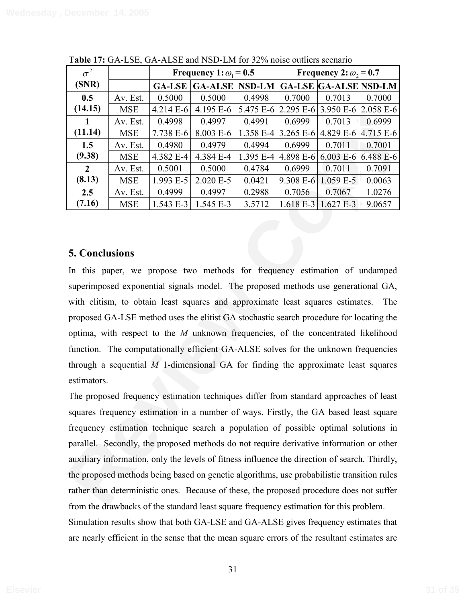| $\sigma^2$     |            |               | Frequency 1: $\omega_1$ = 0.5 |               | Frequency 2: $\omega_2$ = 0.7 |                       |           |  |
|----------------|------------|---------------|-------------------------------|---------------|-------------------------------|-----------------------|-----------|--|
| (SNR)          |            | <b>GA-LSE</b> | <b>GA-ALSE</b>                | <b>NSD-LM</b> | <b>GA-LSE</b>                 | <b>GA-ALSE NSD-LM</b> |           |  |
| 0.5            | Av. Est.   | 0.5000        | 0.5000                        | 0.4998        | 0.7000                        | 0.7013                | 0.7000    |  |
| (14.15)        | <b>MSE</b> | $4.214 E-6$   | 4.195 E-6                     | 5.475 E-6     | 2.295 E-6                     | $3.950 E-6$           | 2.058 E-6 |  |
| 1              | Av. Est.   | 0.4998        | 0.4997                        | 0.4991        | 0.6999                        | 0.7013                | 0.6999    |  |
| (11.14)        | <b>MSE</b> | 7.738 E-6     | 8.003 E-6                     | 1.358 E-4     | $3.265 E-6$                   | 4.829 E-6             | 4.715 E-6 |  |
| 1.5            | Av. Est.   | 0.4980        | 0.4979                        | 0.4994        | 0.6999                        | 0.7011                | 0.7001    |  |
| (9.38)         | <b>MSE</b> | 4.382 E-4     | 4.384 E-4                     | 1.395 E-4     | 4.898 E-6                     | $6.003 E-6$           | 6.488 E-6 |  |
| $\overline{2}$ | Av. Est.   | 0.5001        | 0.5000                        | 0.4784        | 0.6999                        | 0.7011                | 0.7091    |  |
| (8.13)         | <b>MSE</b> | 1.993 E-5     | $2.020 E-5$                   | 0.0421        | 9.308 E-6                     | $1.059 E-5$           | 0.0063    |  |
| 2.5            | Av. Est.   | 0.4999        | 0.4997                        | 0.2988        | 0.7056                        | 0.7067                | 1.0276    |  |
| (7.16)         | <b>MSE</b> | $1.543 E-3$   | 1.545 E-3                     | 3.5712        | 1.618 E-3                     | $1.627 E-3$           | 9.0657    |  |

**Table 17:** GA-LSE, GA-ALSE and NSD-LM for 32% noise outliers scenario

# **5. Conclusions**

1.1.4 Av. Est. 0.4998 0.4997 0.4991 0.6999 0.7013 0.6999<br>
1.1.1.4) MSE 7.738 E-6 1303 E-6 1.338 E-4 3.265 E-6 4.839 E-6 4.713 E-E6<br>
1.5 Av. Est. 0.4980 0.4979 0.4994 0.6999 0.7011 0.7001<br>
(9.38) MSE 4.382 E-4 4.384 E-4 1. In this paper, we propose two methods for frequency estimation of undamped superimposed exponential signals model. The proposed methods use generational GA, with elitism, to obtain least squares and approximate least squares estimates. The proposed GA-LSE method uses the elitist GA stochastic search procedure for locating the optima, with respect to the *M* unknown frequencies, of the concentrated likelihood function. The computationally efficient GA-ALSE solves for the unknown frequencies through a sequential *M* 1-dimensional GA for finding the approximate least squares estimators.

The proposed frequency estimation techniques differ from standard approaches of least squares frequency estimation in a number of ways. Firstly, the GA based least square frequency estimation technique search a population of possible optimal solutions in parallel. Secondly, the proposed methods do not require derivative information or other auxiliary information, only the levels of fitness influence the direction of search. Thirdly, the proposed methods being based on genetic algorithms, use probabilistic transition rules rather than deterministic ones. Because of these, the proposed procedure does not suffer from the drawbacks of the standard least square frequency estimation for this problem. Simulation results show that both GA-LSE and GA-ALSE gives frequency estimates that are nearly efficient in the sense that the mean square errors of the resultant estimates are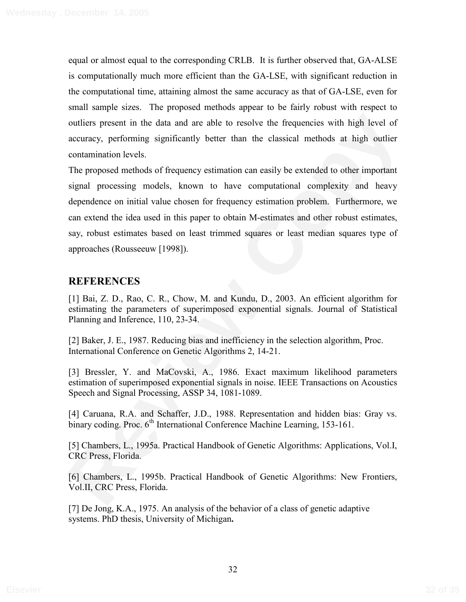equal or almost equal to the corresponding CRLB. It is further observed that, GA-ALSE is computationally much more efficient than the GA-LSE, with significant reduction in the computational time, attaining almost the same accuracy as that of GA-LSE, even for small sample sizes. The proposed methods appear to be fairly robust with respect to outliers present in the data and are able to resolve the frequencies with high level of accuracy, performing significantly better than the classical methods at high outlier contamination levels.

outliers present in the data and are able to resolve the frequencies with high level of<br>accuracy, performing significantly better than the classical methods at high outlier<br>contamination levels.<br>The proposed methods of fre The proposed methods of frequency estimation can easily be extended to other important signal processing models, known to have computational complexity and heavy dependence on initial value chosen for frequency estimation problem. Furthermore, we can extend the idea used in this paper to obtain M-estimates and other robust estimates, say, robust estimates based on least trimmed squares or least median squares type of approaches (Rousseeuw [1998]).

# **REFERENCES**

[1] Bai, Z. D., Rao, C. R., Chow, M. and Kundu, D., 2003. An efficient algorithm for estimating the parameters of superimposed exponential signals. Journal of Statistical Planning and Inference, 110, 23-34.

[2] Baker, J. E., 1987. Reducing bias and inefficiency in the selection algorithm, Proc. International Conference on Genetic Algorithms 2, 14-21.

[3] Bressler, Y. and MaCovski, A., 1986. Exact maximum likelihood parameters estimation of superimposed exponential signals in noise. IEEE Transactions on Acoustics Speech and Signal Processing, ASSP 34, 1081-1089.

[4] Caruana, R.A. and Schaffer, J.D., 1988. Representation and hidden bias: Gray vs. binary coding. Proc. 6<sup>th</sup> International Conference Machine Learning, 153-161.

[5] Chambers, L., 1995a. Practical Handbook of Genetic Algorithms: Applications, Vol.I, CRC Press, Florida.

[6] Chambers, L., 1995b. Practical Handbook of Genetic Algorithms: New Frontiers, Vol.II, CRC Press, Florida.

[7] De Jong, K.A., 1975. An analysis of the behavior of a class of genetic adaptive systems. PhD thesis, University of Michigan**.**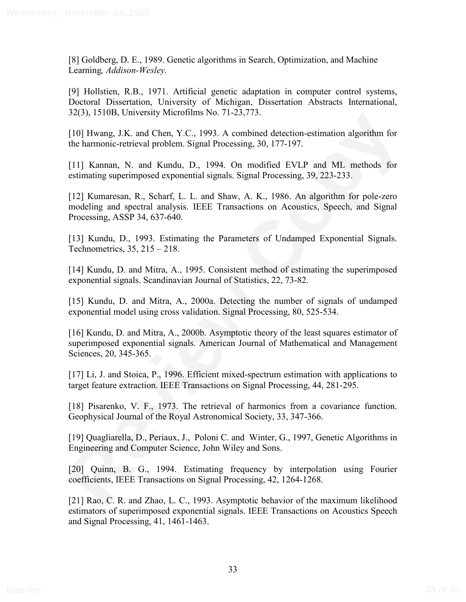[8] Goldberg, D. E., 1989. Genetic algorithms in Search, Optimization, and Machine Learning*, Addison-Wesley.* 

[9] Hollstien, R.B., 1971. Artificial genetic adaptation in computer control systems, Doctoral Dissertation, University of Michigan, Dissertation Abstracts International, 32(3), 1510B, University Microfilms No. 71-23,773.

[10] Hwang, J.K. and Chen, Y.C., 1993. A combined detection-estimation algorithm for the harmonic-retrieval problem. Signal Processing, 30, 177-197.

[11] Kannan, N. and Kundu, D., 1994. On modified EVLP and ML methods for estimating superimposed exponential signals. Signal Processing, 39, 223-233.

[12] Kumaresan, R., Scharf, L. L. and Shaw, A. K., 1986. An algorithm for pole-zero modeling and spectral analysis. IEEE Transactions on Acoustics, Speech, and Signal Processing, ASSP 34, 637-640.

[13] Kundu, D., 1993. Estimating the Parameters of Undamped Exponential Signals. Technometrics, 35, 215 – 218.

[14] Kundu, D. and Mitra, A., 1995. Consistent method of estimating the superimposed exponential signals. Scandinavian Journal of Statistics, 22, 73-82.

[15] Kundu, D. and Mitra, A., 2000a. Detecting the number of signals of undamped exponential model using cross validation. Signal Processing, 80, 525-534.

22(3), 13100s, University Micknumins 30. 71223,773.<br> **Review Copyright English Colorn, 2.C.** 1993. A combined detection-estimation algorithm for<br>
[10] Hwaman, N. and Kundu, D., 1994. On modified EVLP and ML methods for<br>
es [16] Kundu, D. and Mitra, A., 2000b. Asymptotic theory of the least squares estimator of superimposed exponential signals. American Journal of Mathematical and Management Sciences, 20, 345-365.

[17] Li, J. and Stoica, P., 1996. Efficient mixed-spectrum estimation with applications to target feature extraction. IEEE Transactions on Signal Processing, 44, 281-295.

[18] Pisarenko, V. F., 1973. The retrieval of harmonics from a covariance function. Geophysical Journal of the Royal Astronomical Society, 33, 347-366.

[19] Quagliarella, D., Periaux, J., Poloni C. and Winter, G., 1997, Genetic Algorithms in Engineering and Computer Science, John Wiley and Sons.

[20] Quinn, B. G., 1994. Estimating frequency by interpolation using Fourier coefficients, IEEE Transactions on Signal Processing, 42, 1264-1268.

[21] Rao, C. R. and Zhao, L. C., 1993. Asymptotic behavior of the maximum likelihood estimators of superimposed exponential signals. IEEE Transactions on Acoustics Speech and Signal Processing, 41, 1461-1463.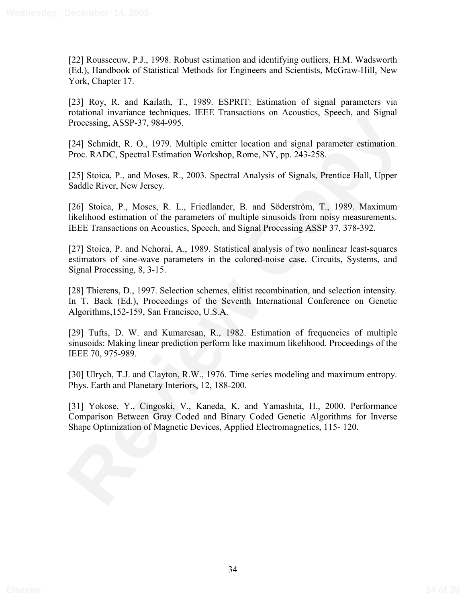[22] Rousseeuw, P.J., 1998. Robust estimation and identifying outliers, H.M. Wadsworth (Ed.), Handbook of Statistical Methods for Engineers and Scientists, McGraw-Hill, New York, Chapter 17.

[23] Roy, R. and Kailath, T., 1989. ESPRIT: Estimation of signal parameters via rotational invariance techniques. IEEE Transactions on Acoustics, Speech, and Signal Processing, ASSP-37, 984-995.

[24] Schmidt, R. O., 1979. Multiple emitter location and signal parameter estimation. Proc. RADC, Spectral Estimation Workshop, Rome, NY, pp. 243-258.

[25] Stoica, P., and Moses, R., 2003. Spectral Analysis of Signals, Prentice Hall, Upper Saddle River, New Jersey.

[26] Stoica, P., Moses, R. L., Friedlander, B. and Söderström, T., 1989. Maximum likelihood estimation of the parameters of multiple sinusoids from noisy measurements. IEEE Transactions on Acoustics, Speech, and Signal Processing ASSP 37, 378-392.

[27] Stoica, P. and Nehorai, A., 1989. Statistical analysis of two nonlinear least-squares estimators of sine-wave parameters in the colored-noise case. Circuits, Systems, and Signal Processing, 8, 3-15.

otationar myadiane techniques. Ent. Final catomic in Actuaties, spectra, and signal<br>Processing, ASSP-37, 984-995.<br>
[24] Schmidt, R. O., 1979. Multiple emitter location and signal parameter estimation.<br>
Proc. RADC, Spectral [28] Thierens, D., 1997. Selection schemes, elitist recombination, and selection intensity. In T. Back (Ed.), Proceedings of the Seventh International Conference on Genetic Algorithms,152-159, San Francisco, U.S.A.

[29] Tufts, D. W. and Kumaresan, R., 1982. Estimation of frequencies of multiple sinusoids: Making linear prediction perform like maximum likelihood. Proceedings of the IEEE 70, 975-989.

[30] Ulrych, T.J. and Clayton, R.W., 1976. Time series modeling and maximum entropy. Phys. Earth and Planetary Interiors, 12, 188-200.

[31] Yokose, Y., Cingoski, V., Kaneda, K. and Yamashita, H., 2000. Performance Comparison Between Gray Coded and Binary Coded Genetic Algorithms for Inverse Shape Optimization of Magnetic Devices, Applied Electromagnetics, 115- 120.